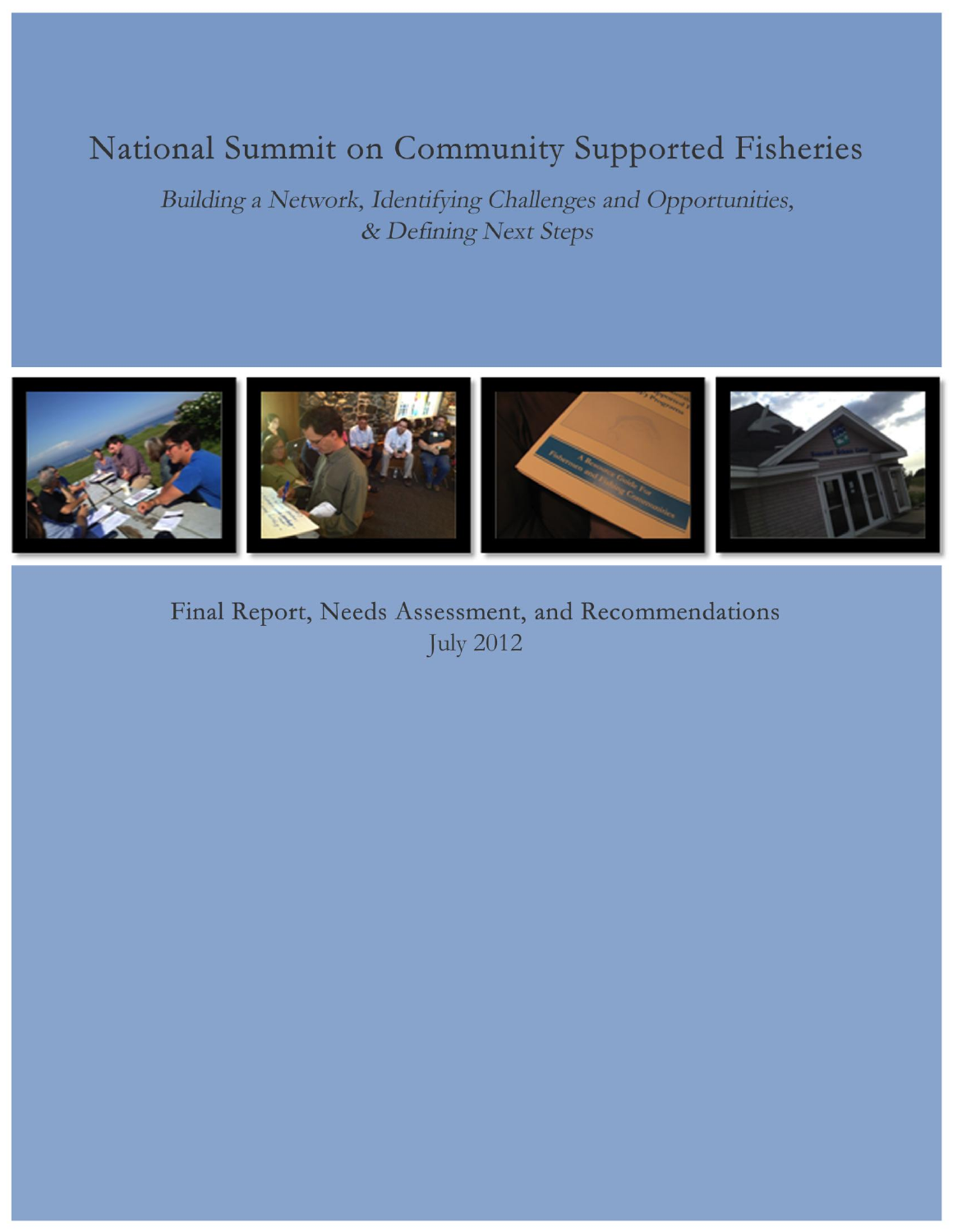# National Summit on Community Supported Fisheries

Building a Network, Identifying Challenges and Opportunities, & Defining Next Steps



Final Report, Needs Assessment, and Recommendations **July 2012**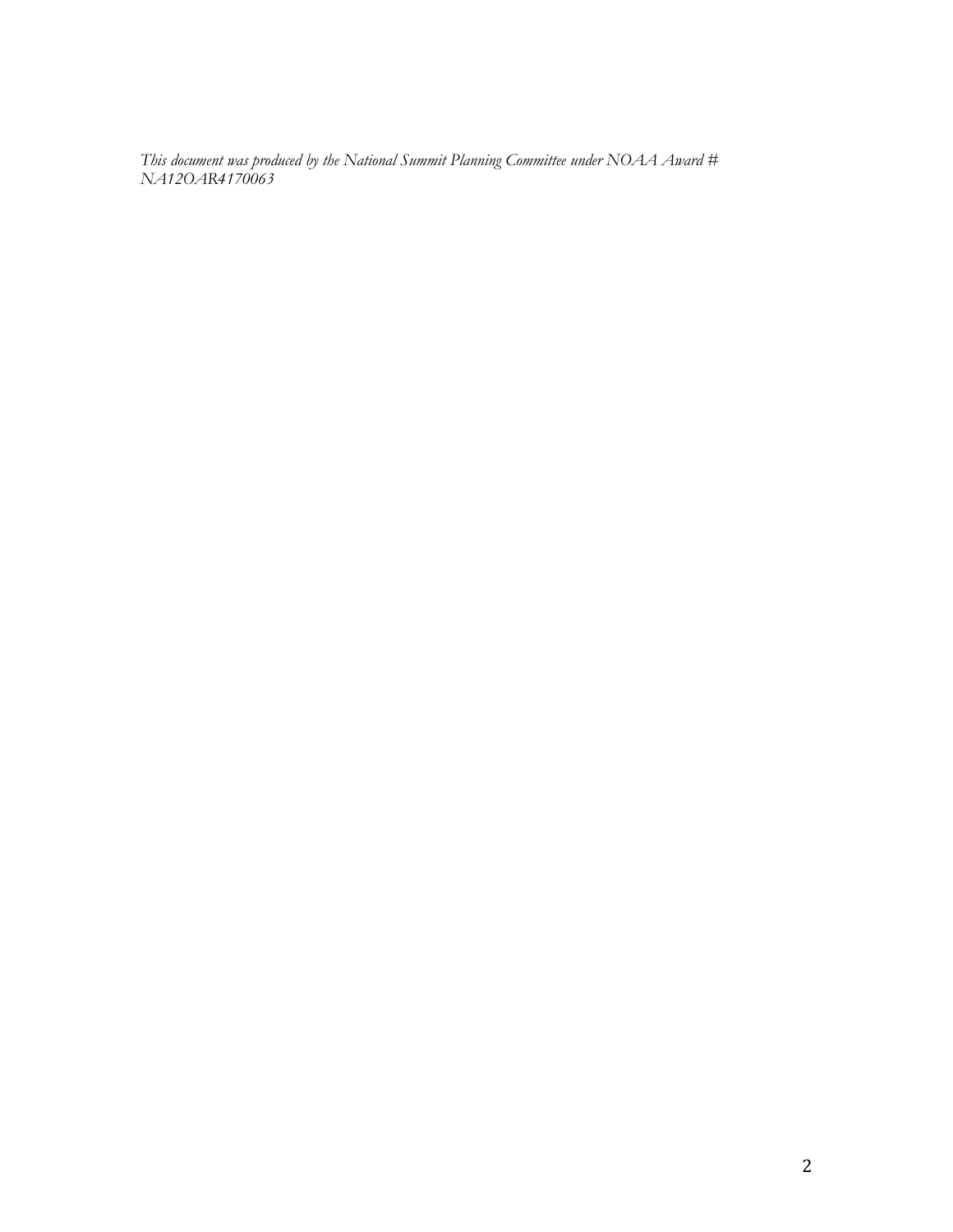*This document was produced by the National Summit Planning Committee under NOAA Award # NA12OAR4170063*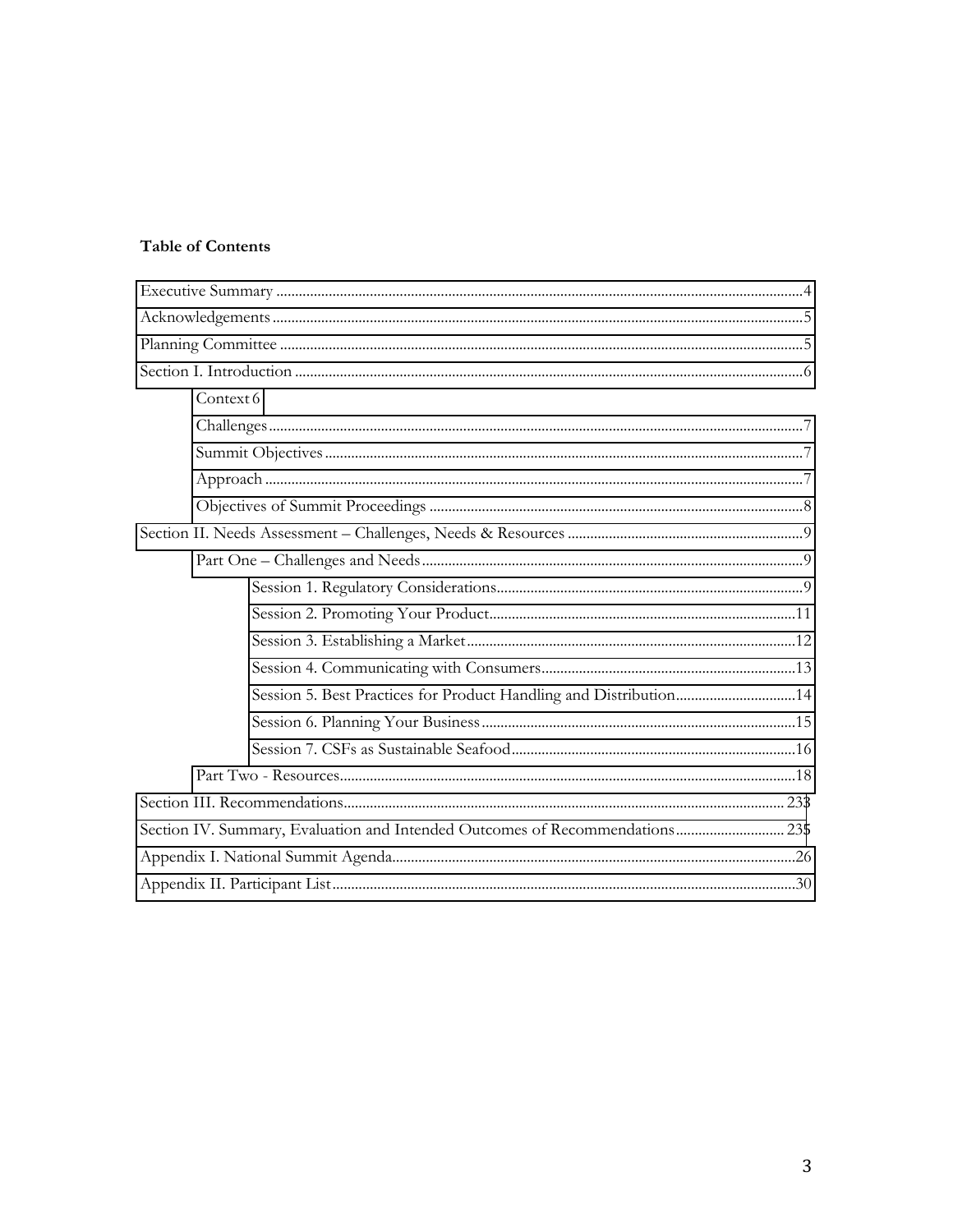# Table of Contents

| Context 6                                                                    |  |
|------------------------------------------------------------------------------|--|
|                                                                              |  |
|                                                                              |  |
|                                                                              |  |
|                                                                              |  |
|                                                                              |  |
|                                                                              |  |
|                                                                              |  |
|                                                                              |  |
|                                                                              |  |
|                                                                              |  |
| Session 5. Best Practices for Product Handling and Distribution14            |  |
|                                                                              |  |
|                                                                              |  |
|                                                                              |  |
|                                                                              |  |
| Section IV. Summary, Evaluation and Intended Outcomes of Recommendations 235 |  |
|                                                                              |  |
|                                                                              |  |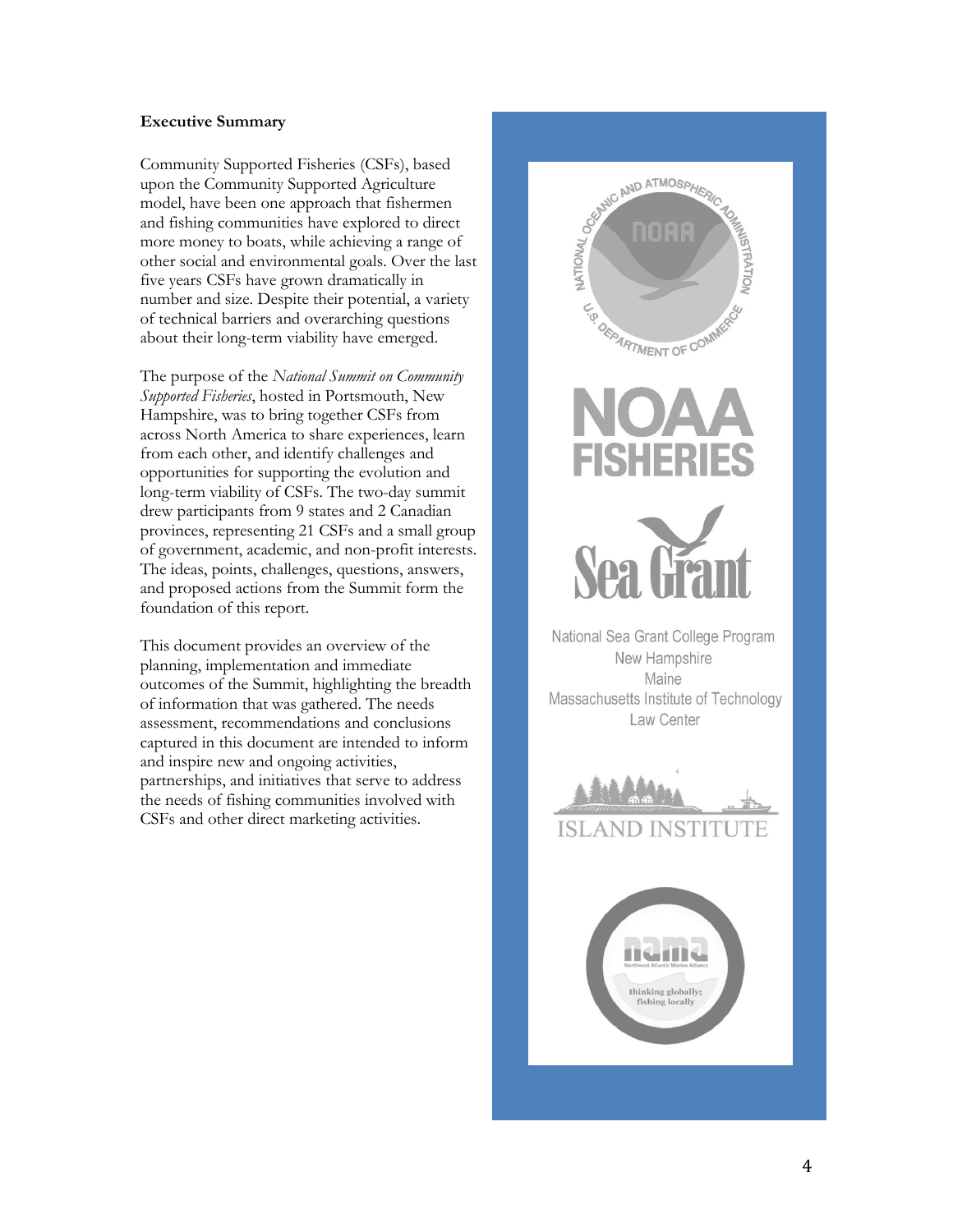## <span id="page-3-0"></span>**Executive Summary**

Community Supported Fisheries (CSFs), based upon the Community Supported Agriculture model, have been one approach that fishermen and fishing communities have explored to direct more money to boats, while achieving a range of other social and environmental goals. Over the last five years CSFs have grown dramatically in number and size. Despite their potential, a variety of technical barriers and overarching questions about their long -term viability have emerged.

The purpose of the *National Summit on Community Supported Fisheries*, hosted in Portsmouth, New Hampshire, was to bring together CSFs from across North America to share experiences, learn from each other, and identify challenges and opportunities for supporting the evolution and long -term viability of CSFs. The two -day summit drew participants fro m 9 states and 2 Canadian provinces, representing 21 CSFs and a small group of government, academic, and non -profit interests . The ideas, points, challenges, questions, answers, and proposed actions from the Summit form the foundation of this report .

This document provide s an overview of the planning, implementation and immediate outcomes of the Summit, highlighting the breadth of information that was gathered. The needs assessment, recommendations and conclusions captured in this document are intended to inform and inspire new and ongoing activities, partnerships , and initiatives that serve to address the needs of fishing communities involved with CSFs and other direct marketing activities.

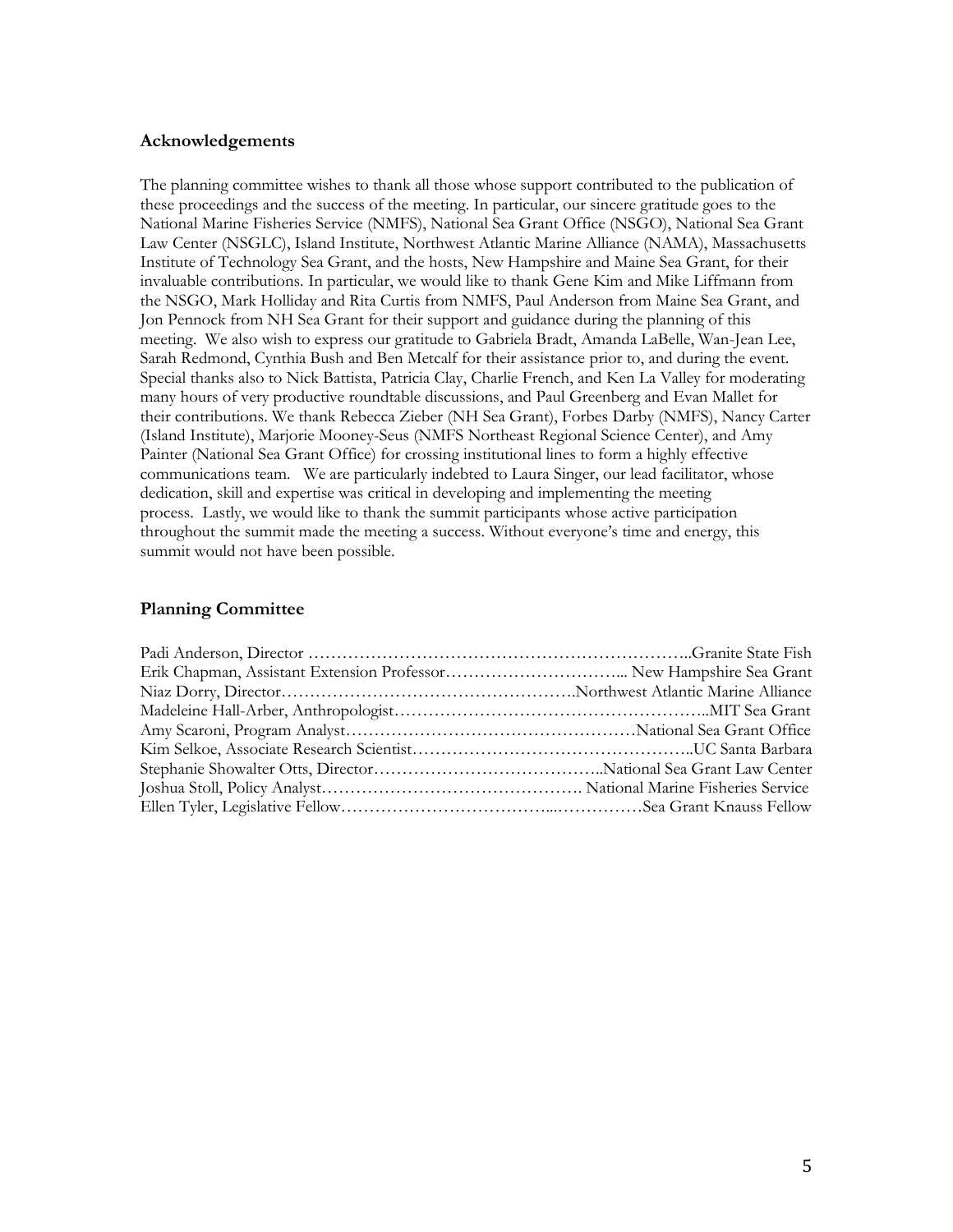## <span id="page-4-0"></span>**Acknowledgements**

The planning committee wishes to thank all those whose support contributed to the publication of these proceedings and the success of the meeting. In particular, our sincere gratitude goes to the National Marine Fisheries Service (NMFS), National Sea Grant Office (NSGO), National Sea Grant Law Center (NSGLC), Island Institute, Northwest Atlantic Marine Alliance (NAMA), Massachusetts Institute of Technology Sea Grant, and the hosts, New Hampshire and Maine Sea Grant, for their invaluable contributions. In particular, we would like to thank Gene Kim and Mike Liffmann from the NSGO, Mark Holliday and Rita Curtis from NMFS, Paul Anderson from Maine Sea Grant, and Jon Pennock from NH Sea Grant for their support and guidance during the planning of this meeting. We also wish to express our gratitude to Gabriela Bradt, Amanda LaBelle, Wan-Jean Lee, Sarah Redmond, Cynthia Bush and Ben Metcalf for their assistance prior to, and during the event. Special thanks also to Nick Battista, Patricia Clay, Charlie French, and Ken La Valley for moderating many hours of very productive roundtable discussions, and Paul Greenberg and Evan Mallet for their contributions. We thank Rebecca Zieber (NH Sea Grant), Forbes Darby (NMFS), Nancy Carter (Island Institute), Marjorie Mooney-Seus (NMFS Northeast Regional Science Center), and Amy Painter (National Sea Grant Office) for crossing institutional lines to form a highly effective communications team. We are particularly indebted to Laura Singer, our lead facilitator, whose dedication, skill and expertise was critical in developing and implementing the meeting process. Lastly, we would like to thank the summit participants whose active participation throughout the summit made the meeting a success. Without everyone's time and energy, this summit would not have been possible.

## <span id="page-4-1"></span>**Planning Committee**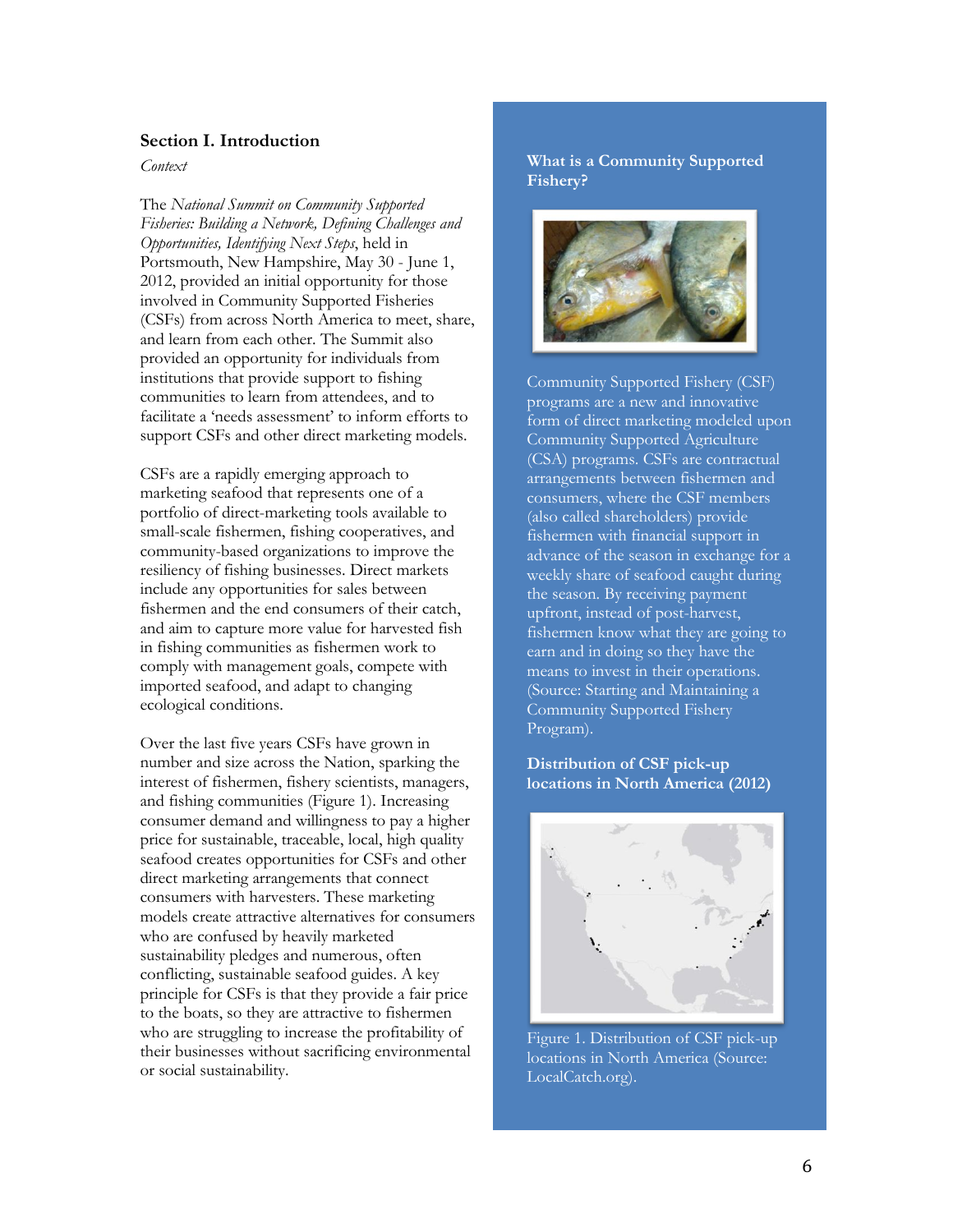#### <span id="page-5-0"></span>**Section I. Introduction**

<span id="page-5-1"></span>*Context*

The *National Summit on Community Supported Fisheries: Building a Network, Defining Challenges and Opportunities, Identifying Next Steps*, held in Portsmouth, New Hampshire, May 30 - June 1, 2012, provided an initial opportunity for those involved in Community Supported Fisheries (CSFs) from across North America to meet, share, and learn from each other. The Summit also provided an opportunity for individuals from institutions that provide support to fishing communities to learn from attendees, and to facilitate a 'needs assessment' to inform efforts to support CSFs and other direct marketing models.

CSFs are a rapidly emerging approach to marketing seafood that represents one of a portfolio of direct-marketing tools available to small-scale fishermen, fishing cooperatives, and community-based organizations to improve the resiliency of fishing businesses. Direct markets include any opportunities for sales between fishermen and the end consumers of their catch, and aim to capture more value for harvested fish in fishing communities as fishermen work to comply with management goals, compete with imported seafood, and adapt to changing ecological conditions.

<span id="page-5-2"></span>Over the last five years CSFs have grown in number and size across the Nation, sparking the interest of fishermen, fishery scientists, managers, and fishing communities (Figure 1). Increasing consumer demand and willingness to pay a higher price for sustainable, traceable, local, high quality seafood creates opportunities for CSFs and other direct marketing arrangements that connect consumers with harvesters. These marketing models create attractive alternatives for consumers who are confused by heavily marketed sustainability pledges and numerous, often conflicting, sustainable seafood guides. A key principle for CSFs is that they provide a fair price to the boats, so they are attractive to fishermen who are struggling to increase the profitability of their businesses without sacrificing environmental or social sustainability.

#### **What is a Community Supported Fishery?**



Community Supported Fishery (CSF) programs are a new and innovative form of direct marketing modeled upon Community Supported Agriculture (CSA) programs. CSFs are contractual arrangements between fishermen and consumers, where the CSF members (also called shareholders) provide fishermen with financial support in advance of the season in exchange for a weekly share of seafood caught during the season. By receiving payment upfront, instead of post-harvest, fishermen know what they are going to earn and in doing so they have the means to invest in their operations. (Source: Starting and Maintaining a Community Supported Fishery Program).

#### **Distribution of CSF pick-up locations in North America (2012)**



Figure 1. Distribution of CSF pick-up locations in North America (Source: LocalCatch.org).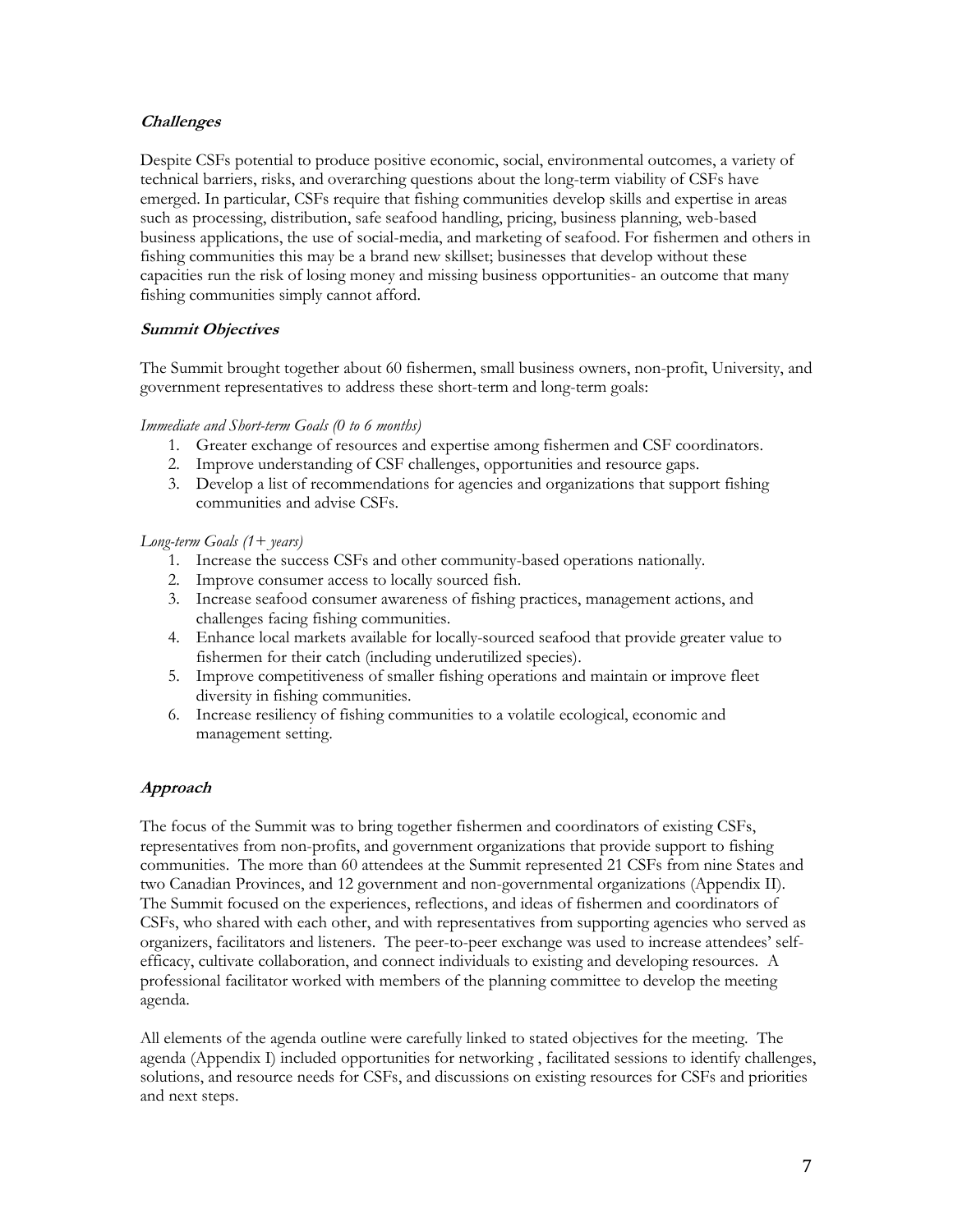## **Challenges**

Despite CSFs potential to produce positive economic, social, environmental outcomes, a variety of technical barriers, risks, and overarching questions about the long-term viability of CSFs have emerged. In particular, CSFs require that fishing communities develop skills and expertise in areas such as processing, distribution, safe seafood handling, pricing, business planning, web-based business applications, the use of social-media, and marketing of seafood. For fishermen and others in fishing communities this may be a brand new skillset; businesses that develop without these capacities run the risk of losing money and missing business opportunities- an outcome that many fishing communities simply cannot afford.

## <span id="page-6-0"></span>**Summit Objectives**

The Summit brought together about 60 fishermen, small business owners, non-profit, University, and government representatives to address these short-term and long-term goals:

#### *Immediate and Short-term Goals (0 to 6 months)*

- 1. Greater exchange of resources and expertise among fishermen and CSF coordinators.
- 2. Improve understanding of CSF challenges, opportunities and resource gaps.
- 3. Develop a list of recommendations for agencies and organizations that support fishing communities and advise CSFs.

#### *Long-term Goals (1+ years)*

- 1. Increase the success CSFs and other community-based operations nationally.
- 2. Improve consumer access to locally sourced fish.
- 3. Increase seafood consumer awareness of fishing practices, management actions, and challenges facing fishing communities.
- 4. Enhance local markets available for locally-sourced seafood that provide greater value to fishermen for their catch (including underutilized species).
- 5. Improve competitiveness of smaller fishing operations and maintain or improve fleet diversity in fishing communities.
- 6. Increase resiliency of fishing communities to a volatile ecological, economic and management setting.

## <span id="page-6-1"></span>**Approach**

The focus of the Summit was to bring together fishermen and coordinators of existing CSFs, representatives from non-profits, and government organizations that provide support to fishing communities. The more than 60 attendees at the Summit represented 21 CSFs from nine States and two Canadian Provinces, and 12 government and non-governmental organizations (Appendix II). The Summit focused on the experiences, reflections, and ideas of fishermen and coordinators of CSFs, who shared with each other, and with representatives from supporting agencies who served as organizers, facilitators and listeners. The peer-to-peer exchange was used to increase attendees' selfefficacy, cultivate collaboration, and connect individuals to existing and developing resources. A professional facilitator worked with members of the planning committee to develop the meeting agenda.

All elements of the agenda outline were carefully linked to stated objectives for the meeting. The agenda (Appendix I) included opportunities for networking , facilitated sessions to identify challenges, solutions, and resource needs for CSFs, and discussions on existing resources for CSFs and priorities and next steps.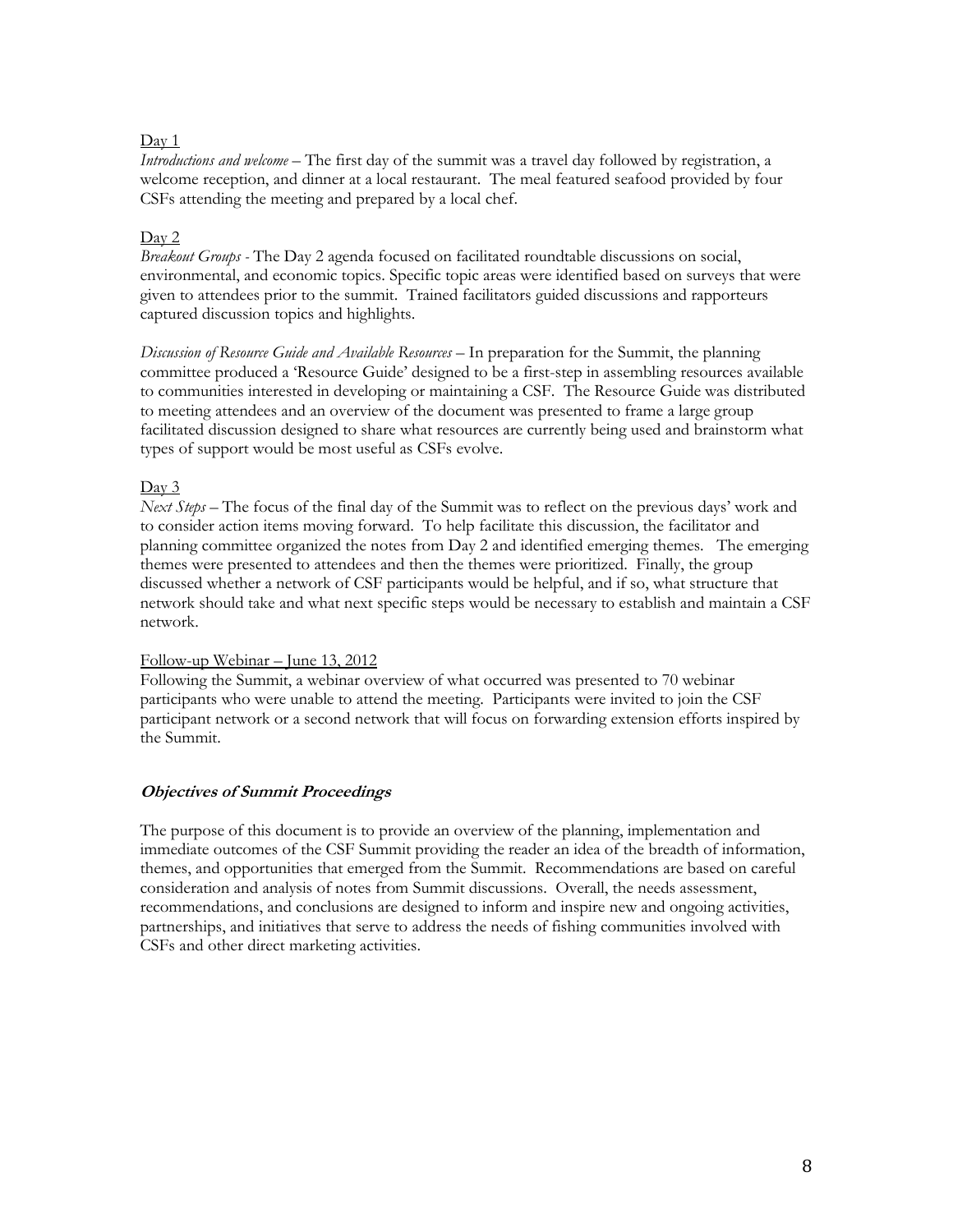#### Day 1

*Introductions and welcome* – The first day of the summit was a travel day followed by registration, a welcome reception, and dinner at a local restaurant. The meal featured seafood provided by four CSFs attending the meeting and prepared by a local chef.

#### Day 2

*Breakout Groups -* The Day 2 agenda focused on facilitated roundtable discussions on social, environmental, and economic topics. Specific topic areas were identified based on surveys that were given to attendees prior to the summit. Trained facilitators guided discussions and rapporteurs captured discussion topics and highlights.

*Discussion of Resource Guide and Available Resources* – In preparation for the Summit, the planning committee produced a 'Resource Guide' designed to be a first-step in assembling resources available to communities interested in developing or maintaining a CSF. The Resource Guide was distributed to meeting attendees and an overview of the document was presented to frame a large group facilitated discussion designed to share what resources are currently being used and brainstorm what types of support would be most useful as CSFs evolve.

## Day 3

*Next Steps* – The focus of the final day of the Summit was to reflect on the previous days' work and to consider action items moving forward. To help facilitate this discussion, the facilitator and planning committee organized the notes from Day 2 and identified emerging themes. The emerging themes were presented to attendees and then the themes were prioritized. Finally, the group discussed whether a network of CSF participants would be helpful, and if so, what structure that network should take and what next specific steps would be necessary to establish and maintain a CSF network.

#### Follow-up Webinar  $-$  June 13, 2012

Following the Summit, a webinar overview of what occurred was presented to 70 webinar participants who were unable to attend the meeting. Participants were invited to join the CSF participant network or a second network that will focus on forwarding extension efforts inspired by the Summit.

## <span id="page-7-0"></span>**Objectives of Summit Proceedings**

The purpose of this document is to provide an overview of the planning, implementation and immediate outcomes of the CSF Summit providing the reader an idea of the breadth of information, themes, and opportunities that emerged from the Summit. Recommendations are based on careful consideration and analysis of notes from Summit discussions. Overall, the needs assessment, recommendations, and conclusions are designed to inform and inspire new and ongoing activities, partnerships, and initiatives that serve to address the needs of fishing communities involved with CSFs and other direct marketing activities.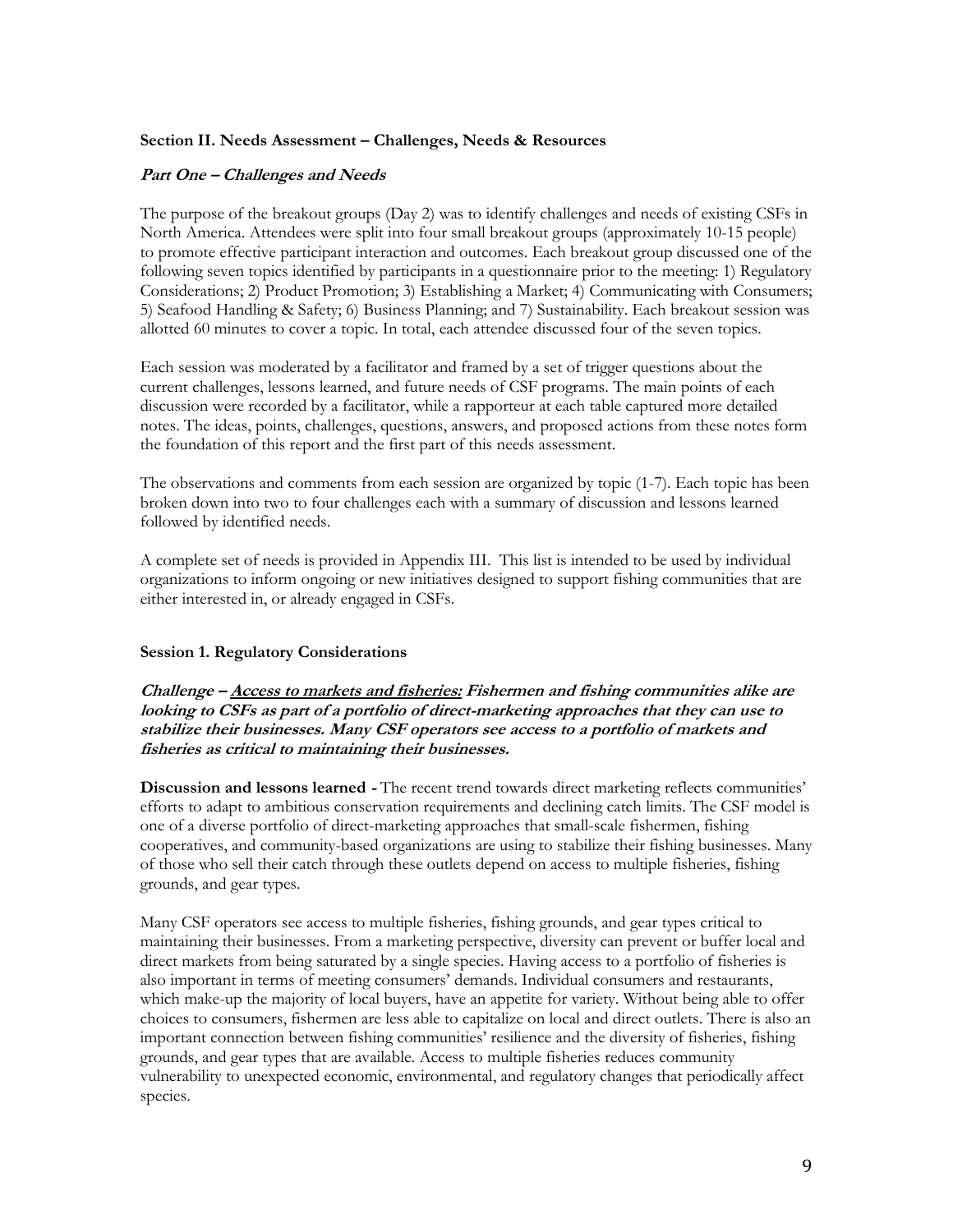#### <span id="page-8-0"></span>**Section II. Needs Assessment ² Challenges, Needs & Resources**

#### <span id="page-8-1"></span>Part One - Challenges and Needs

The purpose of the breakout groups (Day 2) was to identify challenges and needs of existing CSFs in North America. Attendees were split into four small breakout groups (approximately 10-15 people) to promote effective participant interaction and outcomes. Each breakout group discussed one of the following seven topics identified by participants in a questionnaire prior to the meeting: 1) Regulatory Considerations; 2) Product Promotion; 3) Establishing a Market; 4) Communicating with Consumers; 5) Seafood Handling & Safety; 6) Business Planning; and 7) Sustainability. Each breakout session was allotted 60 minutes to cover a topic. In total, each attendee discussed four of the seven topics.

Each session was moderated by a facilitator and framed by a set of trigger questions about the current challenges, lessons learned, and future needs of CSF programs. The main points of each discussion were recorded by a facilitator, while a rapporteur at each table captured more detailed notes. The ideas, points, challenges, questions, answers, and proposed actions from these notes form the foundation of this report and the first part of this needs assessment.

The observations and comments from each session are organized by topic (1-7). Each topic has been broken down into two to four challenges each with a summary of discussion and lessons learned followed by identified needs.

A complete set of needs is provided in Appendix III. This list is intended to be used by individual organizations to inform ongoing or new initiatives designed to support fishing communities that are either interested in, or already engaged in CSFs.

#### <span id="page-8-2"></span>**Session 1. Regulatory Considerations**

**Challenge <sup>²</sup> Access to markets and fisheries: Fishermen and fishing communities alike are looking to CSFs as part of a portfolio of direct-marketing approaches that they can use to stabilize their businesses. Many CSF operators see access to a portfolio of markets and fisheries as critical to maintaining their businesses.**

**Discussion and lessons learned** - The recent trend towards direct marketing reflects communities' efforts to adapt to ambitious conservation requirements and declining catch limits. The CSF model is one of a diverse portfolio of direct-marketing approaches that small-scale fishermen, fishing cooperatives, and community-based organizations are using to stabilize their fishing businesses. Many of those who sell their catch through these outlets depend on access to multiple fisheries, fishing grounds, and gear types.

Many CSF operators see access to multiple fisheries, fishing grounds, and gear types critical to maintaining their businesses. From a marketing perspective, diversity can prevent or buffer local and direct markets from being saturated by a single species. Having access to a portfolio of fisheries is also important in terms of meeting consumers' demands. Individual consumers and restaurants, which make-up the majority of local buyers, have an appetite for variety. Without being able to offer choices to consumers, fishermen are less able to capitalize on local and direct outlets. There is also an important connection between fishing communities' resilience and the diversity of fisheries, fishing grounds, and gear types that are available. Access to multiple fisheries reduces community vulnerability to unexpected economic, environmental, and regulatory changes that periodically affect species.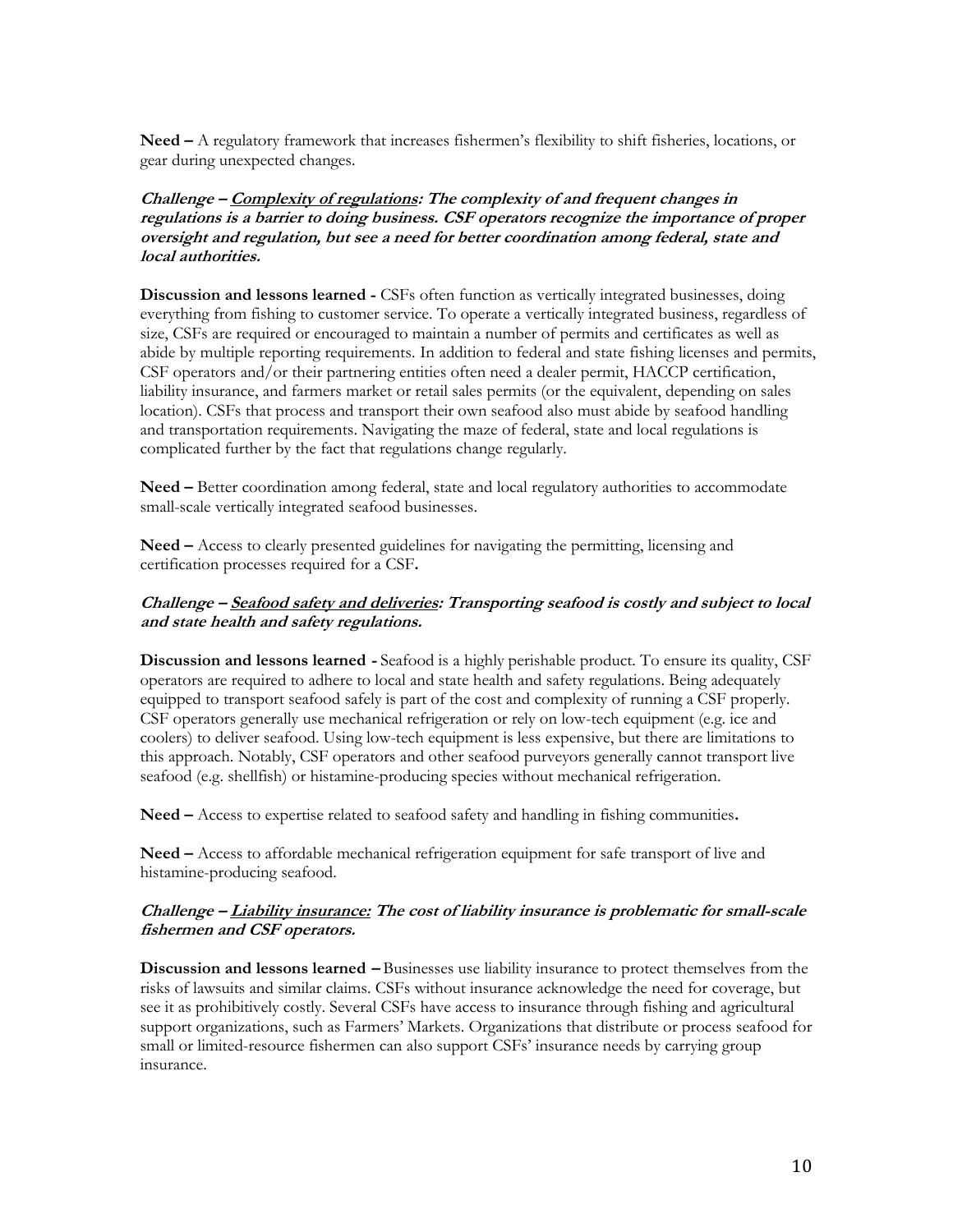**Need**  $\text{-}$  A regulatory framework that increases fishermen's flexibility to shift fisheries, locations, or gear during unexpected changes.

**Challenge <sup>²</sup> Complexity of regulations: The complexity of and frequent changes in regulations is a barrier to doing business. CSF operators recognize the importance of proper oversight and regulation, but see a need for better coordination among federal, state and local authorities.** 

**Discussion and lessons learned -** CSFs often function as vertically integrated businesses, doing everything from fishing to customer service. To operate a vertically integrated business, regardless of size, CSFs are required or encouraged to maintain a number of permits and certificates as well as abide by multiple reporting requirements. In addition to federal and state fishing licenses and permits, CSF operators and/or their partnering entities often need a dealer permit, HACCP certification, liability insurance, and farmers market or retail sales permits (or the equivalent, depending on sales location). CSFs that process and transport their own seafood also must abide by seafood handling and transportation requirements. Navigating the maze of federal, state and local regulations is complicated further by the fact that regulations change regularly.

**Need –** Better coordination among federal, state and local regulatory authorities to accommodate small-scale vertically integrated seafood businesses.

**Need –** Access to clearly presented guidelines for navigating the permitting, licensing and certification processes required for a CSF**.** 

## **Challenge <sup>²</sup> Seafood safety and deliveries: Transporting seafood is costly and subject to local and state health and safety regulations.**

**Discussion and lessons learned -** Seafood is a highly perishable product. To ensure its quality, CSF operators are required to adhere to local and state health and safety regulations. Being adequately equipped to transport seafood safely is part of the cost and complexity of running a CSF properly. CSF operators generally use mechanical refrigeration or rely on low-tech equipment (e.g. ice and coolers) to deliver seafood. Using low-tech equipment is less expensive, but there are limitations to this approach. Notably, CSF operators and other seafood purveyors generally cannot transport live seafood (e.g. shellfish) or histamine-producing species without mechanical refrigeration.

**Need ²** Access to expertise related to seafood safety and handling in fishing communities**.** 

**Need ²** Access to affordable mechanical refrigeration equipment for safe transport of live and histamine-producing seafood.

## **Challenge <sup>²</sup> Liability insurance: The cost of liability insurance is problematic for small-scale fishermen and CSF operators.**

**Discussion and lessons learned – Businesses use liability insurance to protect themselves from the** risks of lawsuits and similar claims. CSFs without insurance acknowledge the need for coverage, but see it as prohibitively costly. Several CSFs have access to insurance through fishing and agricultural support organizations, such as Farmers' Markets. Organizations that distribute or process seafood for small or limited-resource fishermen can also support CSFs' insurance needs by carrying group insurance.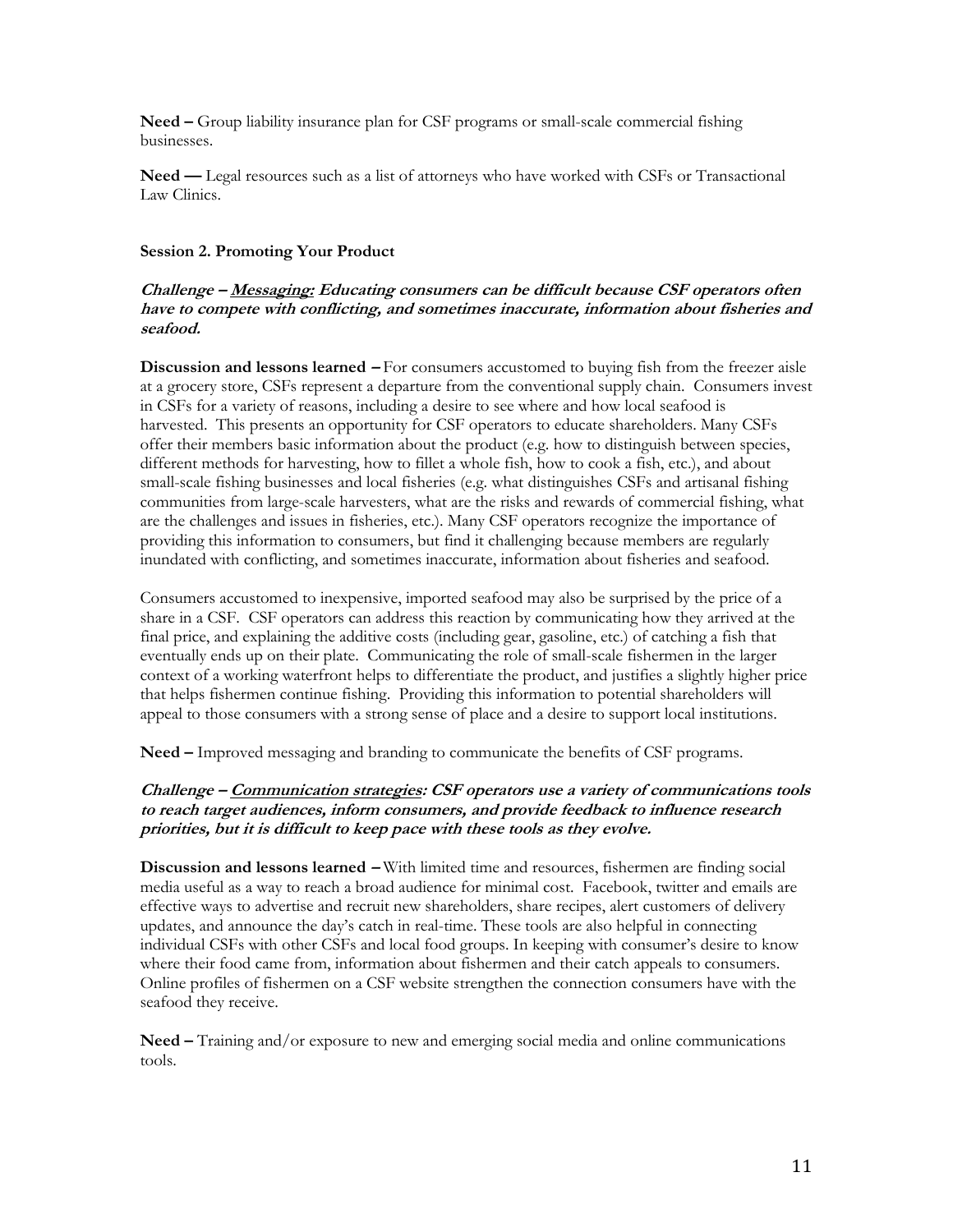**Need** – Group liability insurance plan for CSF programs or small-scale commercial fishing businesses.

<span id="page-10-0"></span>**Need — Legal resources such as a list of attorneys who have worked with CSFs or Transactional** Law Clinics.

#### **Session 2. Promoting Your Product**

## **Challenge <sup>²</sup> Messaging: Educating consumers can be difficult because CSF operators often have to compete with conflicting, and sometimes inaccurate, information about fisheries and seafood.**

**Discussion and lessons learned – For consumers accustomed to buying fish from the freezer aisle** at a grocery store, CSFs represent a departure from the conventional supply chain. Consumers invest in CSFs for a variety of reasons, including a desire to see where and how local seafood is harvested. This presents an opportunity for CSF operators to educate shareholders. Many CSFs offer their members basic information about the product (e.g. how to distinguish between species, different methods for harvesting, how to fillet a whole fish, how to cook a fish, etc.), and about small-scale fishing businesses and local fisheries (e.g. what distinguishes CSFs and artisanal fishing communities from large-scale harvesters, what are the risks and rewards of commercial fishing, what are the challenges and issues in fisheries, etc.). Many CSF operators recognize the importance of providing this information to consumers, but find it challenging because members are regularly inundated with conflicting, and sometimes inaccurate, information about fisheries and seafood.

Consumers accustomed to inexpensive, imported seafood may also be surprised by the price of a share in a CSF. CSF operators can address this reaction by communicating how they arrived at the final price, and explaining the additive costs (including gear, gasoline, etc.) of catching a fish that eventually ends up on their plate. Communicating the role of small-scale fishermen in the larger context of a working waterfront helps to differentiate the product, and justifies a slightly higher price that helps fishermen continue fishing. Providing this information to potential shareholders will appeal to those consumers with a strong sense of place and a desire to support local institutions.

Need – Improved messaging and branding to communicate the benefits of CSF programs.

## **Challenge <sup>²</sup> Communication strategies: CSF operators use a variety of communications tools to reach target audiences, inform consumers, and provide feedback to influence research priorities, but it is difficult to keep pace with these tools as they evolve.**

**Discussion and lessons learned – With limited time and resources, fishermen are finding social** media useful as a way to reach a broad audience for minimal cost. Facebook, twitter and emails are effective ways to advertise and recruit new shareholders, share recipes, alert customers of delivery updates, and announce the day's catch in real-time. These tools are also helpful in connecting individual CSFs with other CSFs and local food groups. In keeping with consumer's desire to know where their food came from, information about fishermen and their catch appeals to consumers. Online profiles of fishermen on a CSF website strengthen the connection consumers have with the seafood they receive.

**Need** – Training and/or exposure to new and emerging social media and online communications tools.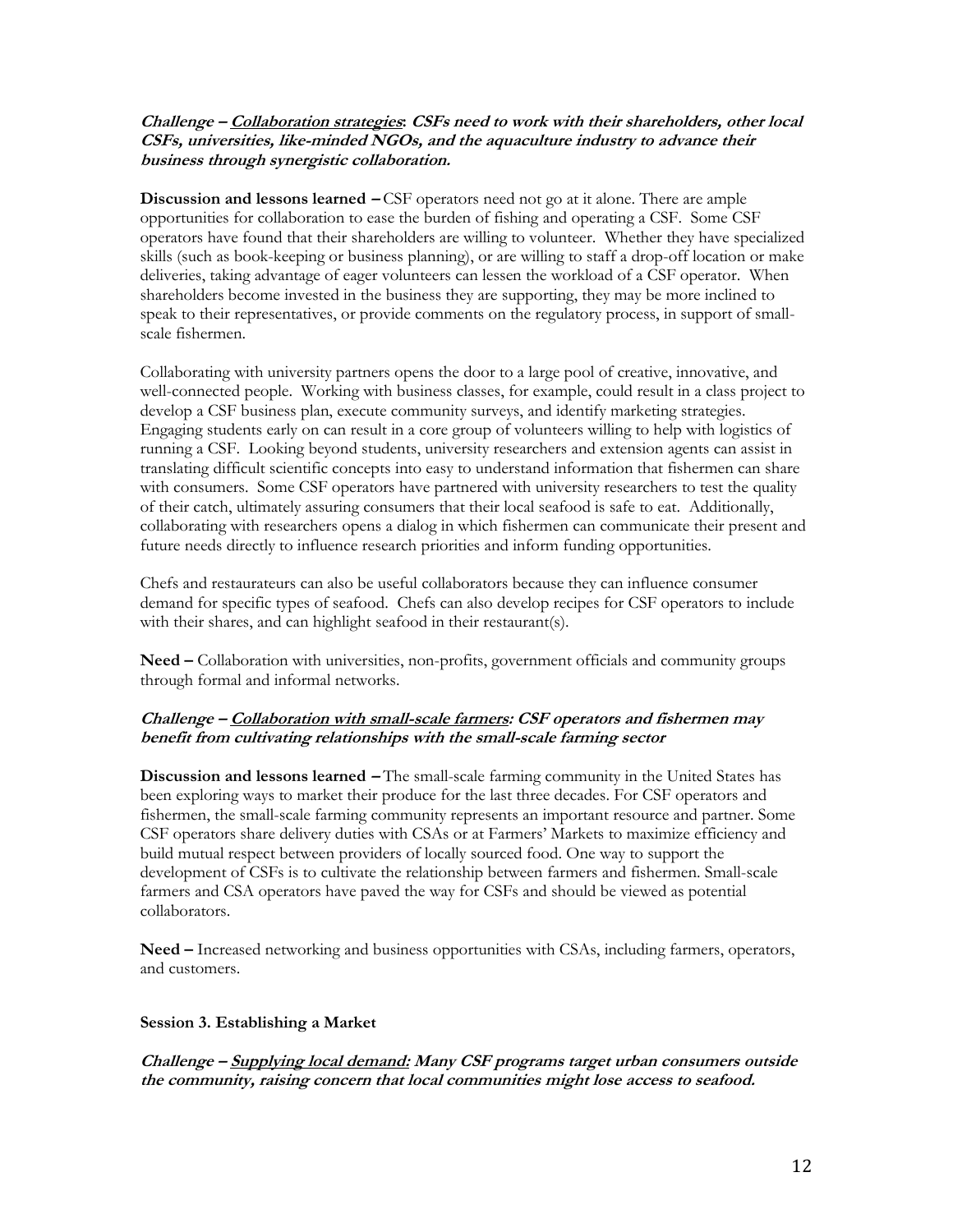## **Challenge <sup>²</sup> Collaboration strategies: CSFs need to work with their shareholders, other local CSFs, universities, like-minded NGOs, and the aquaculture industry to advance their business through synergistic collaboration.**

**Discussion and lessons learned**  $-CSF$  operators need not go at it alone. There are ample opportunities for collaboration to ease the burden of fishing and operating a CSF. Some CSF operators have found that their shareholders are willing to volunteer. Whether they have specialized skills (such as book-keeping or business planning), or are willing to staff a drop-off location or make deliveries, taking advantage of eager volunteers can lessen the workload of a CSF operator. When shareholders become invested in the business they are supporting, they may be more inclined to speak to their representatives, or provide comments on the regulatory process, in support of smallscale fishermen.

Collaborating with university partners opens the door to a large pool of creative, innovative, and well-connected people. Working with business classes, for example, could result in a class project to develop a CSF business plan, execute community surveys, and identify marketing strategies. Engaging students early on can result in a core group of volunteers willing to help with logistics of running a CSF. Looking beyond students, university researchers and extension agents can assist in translating difficult scientific concepts into easy to understand information that fishermen can share with consumers. Some CSF operators have partnered with university researchers to test the quality of their catch, ultimately assuring consumers that their local seafood is safe to eat. Additionally, collaborating with researchers opens a dialog in which fishermen can communicate their present and future needs directly to influence research priorities and inform funding opportunities.

Chefs and restaurateurs can also be useful collaborators because they can influence consumer demand for specific types of seafood. Chefs can also develop recipes for CSF operators to include with their shares, and can highlight seafood in their restaurant(s).

**Need ²** Collaboration with universities, non-profits, government officials and community groups through formal and informal networks.

## **Challenge <sup>²</sup> Collaboration with small-scale farmers: CSF operators and fishermen may benefit from cultivating relationships with the small-scale farming sector**

**Discussion and lessons learned** – The small-scale farming community in the United States has been exploring ways to market their produce for the last three decades. For CSF operators and fishermen, the small-scale farming community represents an important resource and partner. Some CSF operators share delivery duties with CSAs or at Farmers' Markets to maximize efficiency and build mutual respect between providers of locally sourced food. One way to support the development of CSFs is to cultivate the relationship between farmers and fishermen. Small-scale farmers and CSA operators have paved the way for CSFs and should be viewed as potential collaborators.

Need – Increased networking and business opportunities with CSAs, including farmers, operators, and customers.

#### <span id="page-11-0"></span>**Session 3. Establishing a Market**

**Challenge <sup>²</sup> Supplying local demand: Many CSF programs target urban consumers outside the community, raising concern that local communities might lose access to seafood.**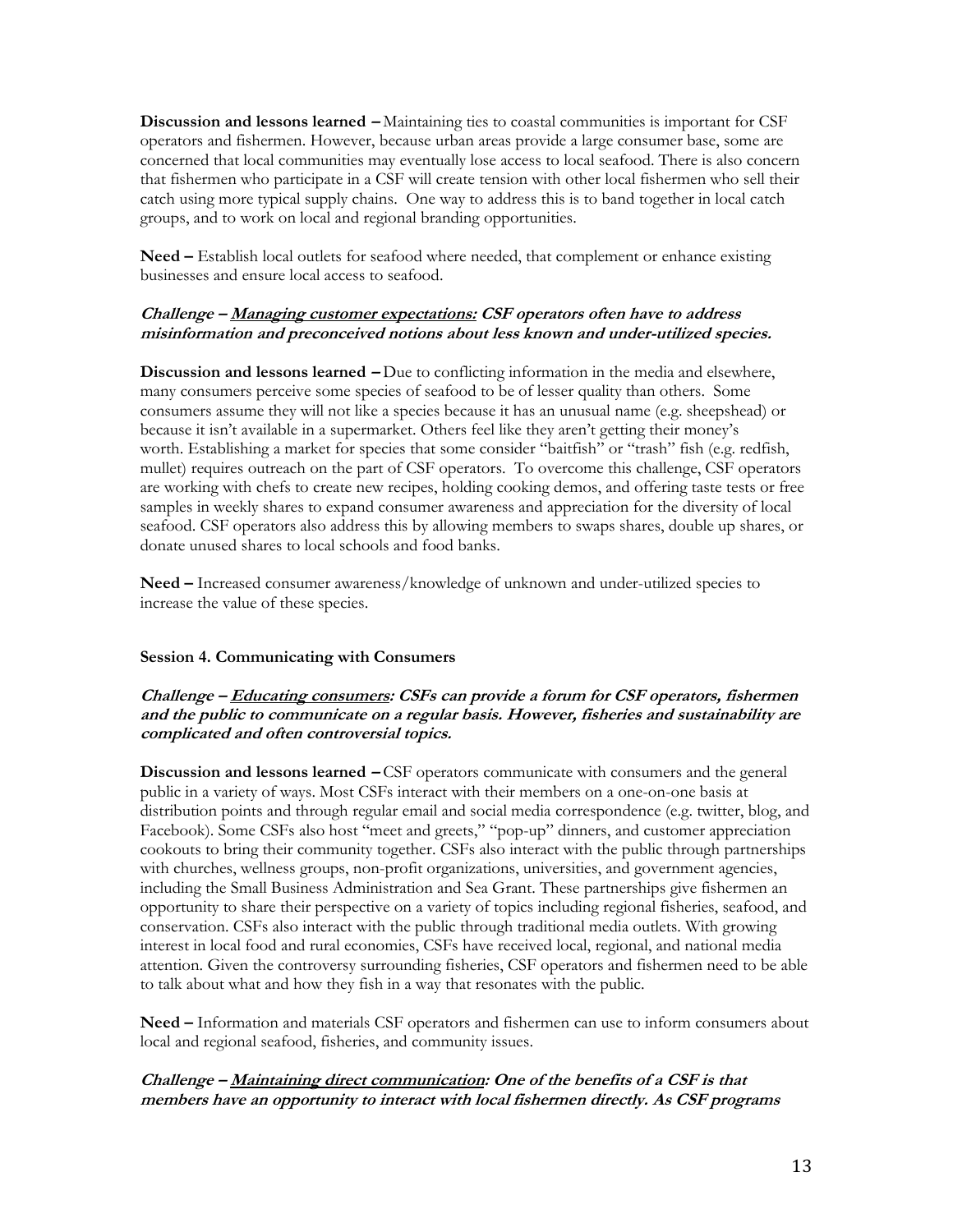**Discussion and lessons learned – Maintaining ties to coastal communities is important for CSF** operators and fishermen. However, because urban areas provide a large consumer base, some are concerned that local communities may eventually lose access to local seafood. There is also concern that fishermen who participate in a CSF will create tension with other local fishermen who sell their catch using more typical supply chains. One way to address this is to band together in local catch groups, and to work on local and regional branding opportunities.

Need – Establish local outlets for seafood where needed, that complement or enhance existing businesses and ensure local access to seafood.

#### **Challenge <sup>²</sup> Managing customer expectations: CSF operators often have to address misinformation and preconceived notions about less known and under-utilized species.**

**Discussion and lessons learned – Due to conflicting information in the media and elsewhere,** many consumers perceive some species of seafood to be of lesser quality than others. Some consumers assume they will not like a species because it has an unusual name (e.g. sheepshead) or because it isn't available in a supermarket. Others feel like they aren't getting their money's worth. Establishing a market for species that some consider "baitfish" or "trash" fish (e.g. redfish, mullet) requires outreach on the part of CSF operators. To overcome this challenge, CSF operators are working with chefs to create new recipes, holding cooking demos, and offering taste tests or free samples in weekly shares to expand consumer awareness and appreciation for the diversity of local seafood. CSF operators also address this by allowing members to swaps shares, double up shares, or donate unused shares to local schools and food banks.

**Need ²** Increased consumer awareness/knowledge of unknown and under-utilized species to increase the value of these species.

#### <span id="page-12-0"></span>**Session 4. Communicating with Consumers**

## **Challenge <sup>²</sup> Educating consumers: CSFs can provide a forum for CSF operators, fishermen and the public to communicate on a regular basis. However, fisheries and sustainability are complicated and often controversial topics.**

**Discussion and lessons learned – CSF operators communicate with consumers and the general** public in a variety of ways. Most CSFs interact with their members on a one-on-one basis at distribution points and through regular email and social media correspondence (e.g. twitter, blog, and Facebook). Some CSFs also host "meet and greets," "pop-up" dinners, and customer appreciation cookouts to bring their community together. CSFs also interact with the public through partnerships with churches, wellness groups, non-profit organizations, universities, and government agencies, including the Small Business Administration and Sea Grant. These partnerships give fishermen an opportunity to share their perspective on a variety of topics including regional fisheries, seafood, and conservation. CSFs also interact with the public through traditional media outlets. With growing interest in local food and rural economies, CSFs have received local, regional, and national media attention. Given the controversy surrounding fisheries, CSF operators and fishermen need to be able to talk about what and how they fish in a way that resonates with the public.

**Need –** Information and materials CSF operators and fishermen can use to inform consumers about local and regional seafood, fisheries, and community issues.

## **Challenge <sup>²</sup> Maintaining direct communication: One of the benefits of a CSF is that members have an opportunity to interact with local fishermen directly. As CSF programs**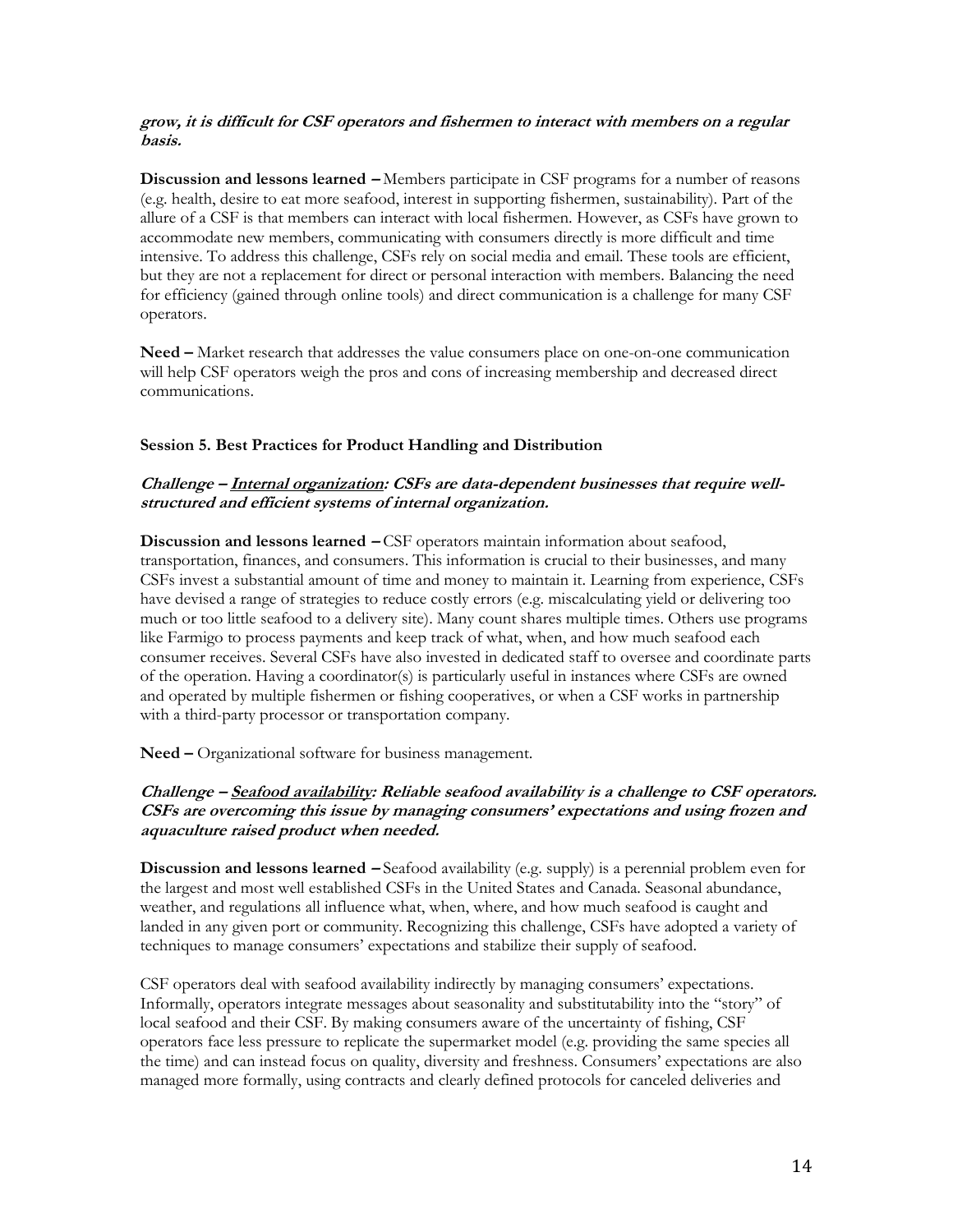## **grow, it is difficult for CSF operators and fishermen to interact with members on a regular basis.**

**Discussion and lessons learned** – Members participate in CSF programs for a number of reasons (e.g. health, desire to eat more seafood, interest in supporting fishermen, sustainability). Part of the allure of a CSF is that members can interact with local fishermen. However, as CSFs have grown to accommodate new members, communicating with consumers directly is more difficult and time intensive. To address this challenge, CSFs rely on social media and email. These tools are efficient, but they are not a replacement for direct or personal interaction with members. Balancing the need for efficiency (gained through online tools) and direct communication is a challenge for many CSF operators.

**Need –** Market research that addresses the value consumers place on one-on-one communication will help CSF operators weigh the pros and cons of increasing membership and decreased direct communications.

#### <span id="page-13-0"></span>**Session 5. Best Practices for Product Handling and Distribution**

## Challenge – **Internal organization:** CSFs are data-dependent businesses that require well**structured and efficient systems of internal organization.**

**Discussion and lessons learned** – CSF operators maintain information about seafood, transportation, finances, and consumers. This information is crucial to their businesses, and many CSFs invest a substantial amount of time and money to maintain it. Learning from experience, CSFs have devised a range of strategies to reduce costly errors (e.g. miscalculating yield or delivering too much or too little seafood to a delivery site). Many count shares multiple times. Others use programs like Farmigo to process payments and keep track of what, when, and how much seafood each consumer receives. Several CSFs have also invested in dedicated staff to oversee and coordinate parts of the operation. Having a coordinator(s) is particularly useful in instances where CSFs are owned and operated by multiple fishermen or fishing cooperatives, or when a CSF works in partnership with a third-party processor or transportation company.

Need – Organizational software for business management.

## **Challenge <sup>²</sup> Seafood availability: Reliable seafood availability is a challenge to CSF operators. CSFs** are overcoming this issue by managing consumers' expectations and using frozen and **aquaculture raised product when needed.**

**Discussion and lessons learned** – Seafood availability (e.g. supply) is a perennial problem even for the largest and most well established CSFs in the United States and Canada. Seasonal abundance, weather, and regulations all influence what, when, where, and how much seafood is caught and landed in any given port or community. Recognizing this challenge, CSFs have adopted a variety of techniques to manage consumers' expectations and stabilize their supply of seafood.

CSF operators deal with seafood availability indirectly by managing consumers' expectations. Informally, operators integrate messages about seasonality and substitutability into the "story" of local seafood and their CSF. By making consumers aware of the uncertainty of fishing, CSF operators face less pressure to replicate the supermarket model (e.g. providing the same species all the time) and can instead focus on quality, diversity and freshness. Consumers' expectations are also managed more formally, using contracts and clearly defined protocols for canceled deliveries and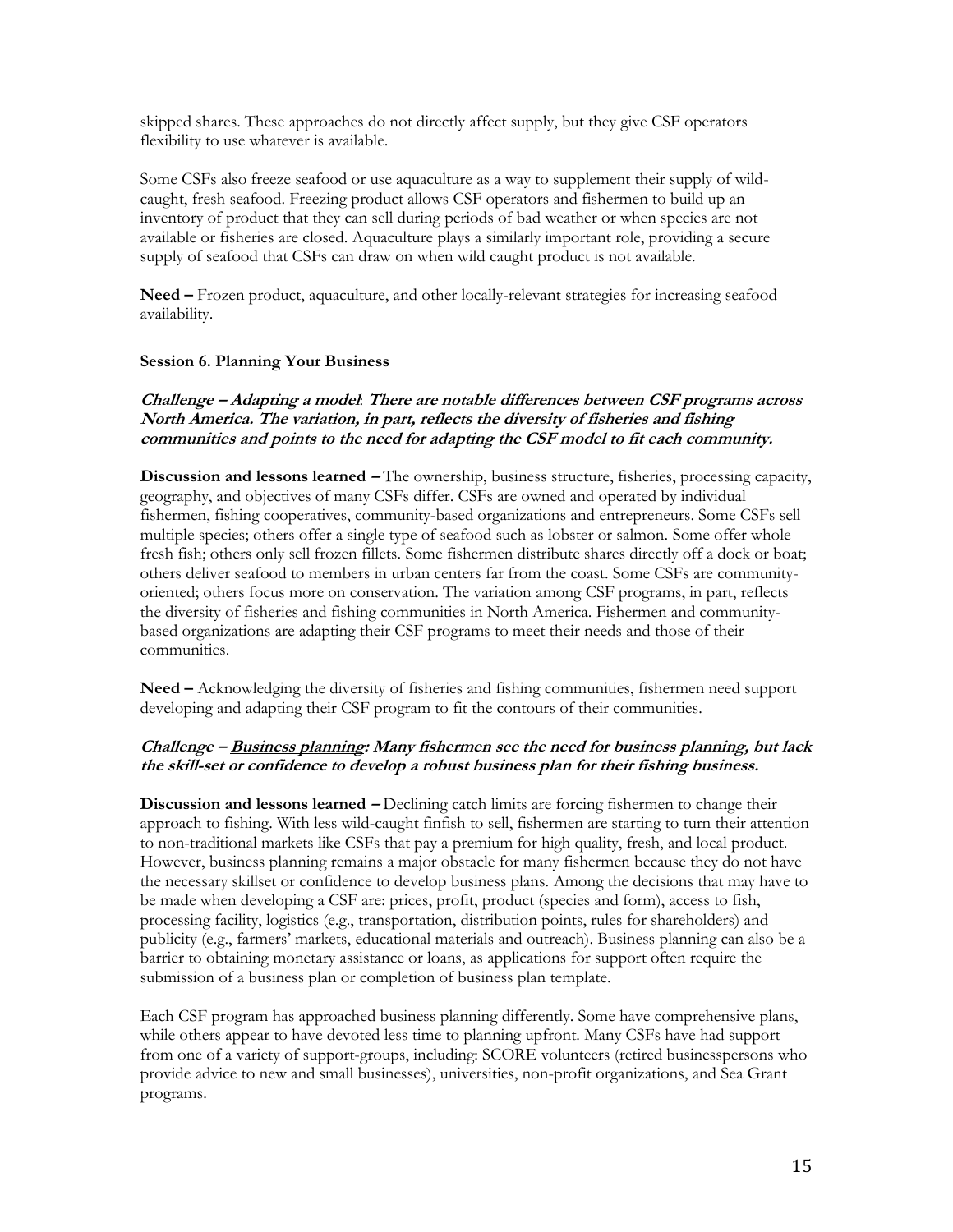skipped shares. These approaches do not directly affect supply, but they give CSF operators flexibility to use whatever is available.

Some CSFs also freeze seafood or use aquaculture as a way to supplement their supply of wildcaught, fresh seafood. Freezing product allows CSF operators and fishermen to build up an inventory of product that they can sell during periods of bad weather or when species are not available or fisheries are closed. Aquaculture plays a similarly important role, providing a secure supply of seafood that CSFs can draw on when wild caught product is not available.

**Need** – Frozen product, aquaculture, and other locally-relevant strategies for increasing seafood availability.

#### <span id="page-14-0"></span>**Session 6. Planning Your Business**

## **Challenge <sup>²</sup> Adapting a model**: **There are notable differences between CSF programs across North America. The variation, in part, reflects the diversity of fisheries and fishing communities and points to the need for adapting the CSF model to fit each community.**

**Discussion and lessons learned <sup>²</sup>** The ownership, business structure, fisheries, processing capacity, geography, and objectives of many CSFs differ. CSFs are owned and operated by individual fishermen, fishing cooperatives, community-based organizations and entrepreneurs. Some CSFs sell multiple species; others offer a single type of seafood such as lobster or salmon. Some offer whole fresh fish; others only sell frozen fillets. Some fishermen distribute shares directly off a dock or boat; others deliver seafood to members in urban centers far from the coast. Some CSFs are communityoriented; others focus more on conservation. The variation among CSF programs, in part, reflects the diversity of fisheries and fishing communities in North America. Fishermen and communitybased organizations are adapting their CSF programs to meet their needs and those of their communities.

**Need –** Acknowledging the diversity of fisheries and fishing communities, fishermen need support developing and adapting their CSF program to fit the contours of their communities.

## Challenge – Business planning: Many fishermen see the need for business planning, but lack **the skill-set or confidence to develop a robust business plan for their fishing business.**

**Discussion and lessons learned - Declining catch limits are forcing fishermen to change their** approach to fishing. With less wild-caught finfish to sell, fishermen are starting to turn their attention to non-traditional markets like CSFs that pay a premium for high quality, fresh, and local product. However, business planning remains a major obstacle for many fishermen because they do not have the necessary skillset or confidence to develop business plans. Among the decisions that may have to be made when developing a CSF are: prices, profit, product (species and form), access to fish, processing facility, logistics (e.g., transportation, distribution points, rules for shareholders) and publicity (e.g., farmers' markets, educational materials and outreach). Business planning can also be a barrier to obtaining monetary assistance or loans, as applications for support often require the submission of a business plan or completion of business plan template.

Each CSF program has approached business planning differently. Some have comprehensive plans, while others appear to have devoted less time to planning upfront. Many CSFs have had support from one of a variety of support-groups, including: SCORE volunteers (retired businesspersons who provide advice to new and small businesses), universities, non-profit organizations, and Sea Grant programs.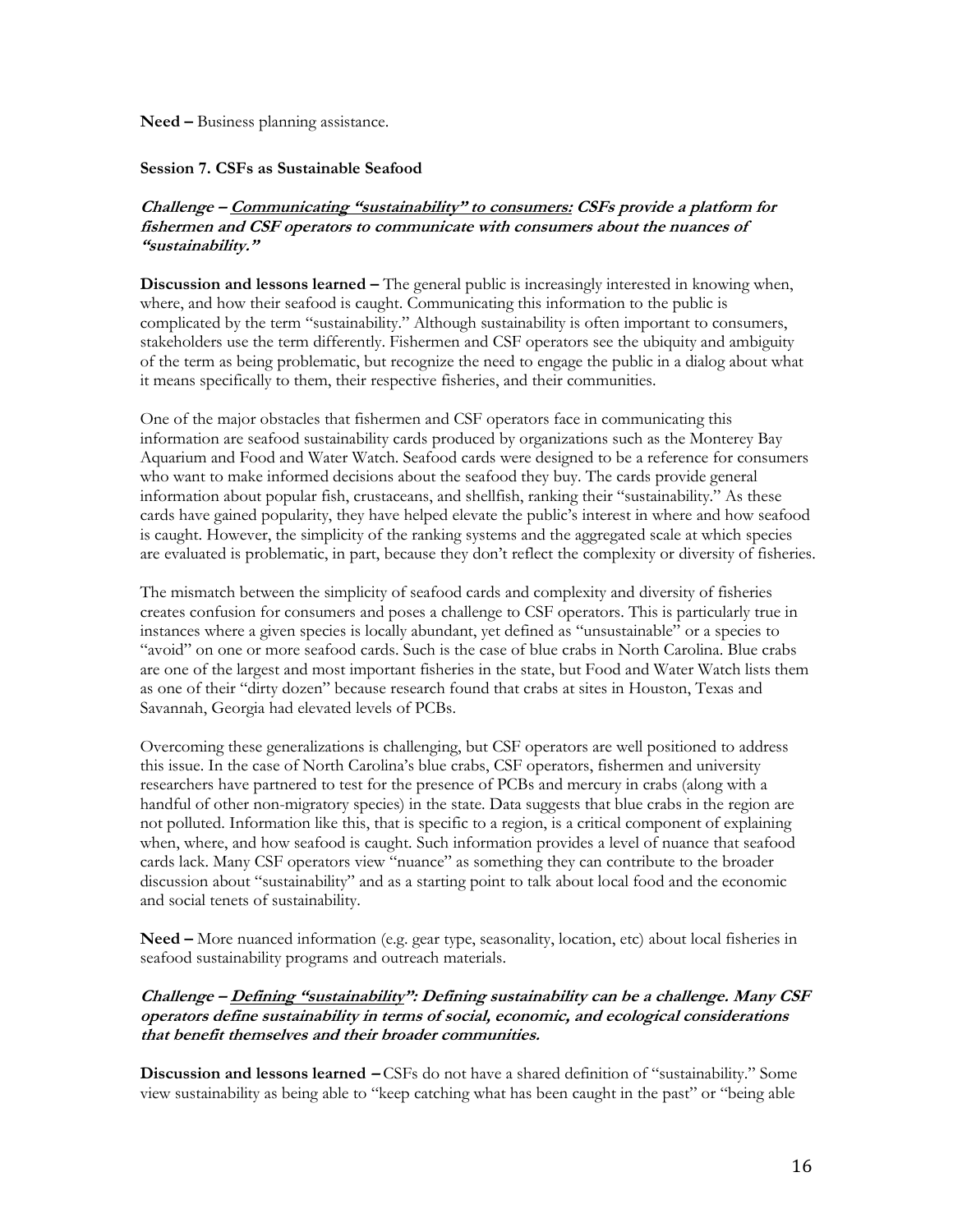<span id="page-15-0"></span>**Need** – Business planning assistance.

#### **Session 7. CSFs as Sustainable Seafood**

## **Challenge – Communicating "sustainability" to consumers:** CSFs provide a platform for **fishermen and CSF operators to communicate with consumers about the nuances of**  "sustainability."

**Discussion and lessons learned – The general public is increasingly interested in knowing when,** where, and how their seafood is caught. Communicating this information to the public is complicated by the term "sustainability." Although sustainability is often important to consumers, stakeholders use the term differently. Fishermen and CSF operators see the ubiquity and ambiguity of the term as being problematic, but recognize the need to engage the public in a dialog about what it means specifically to them, their respective fisheries, and their communities.

One of the major obstacles that fishermen and CSF operators face in communicating this information are seafood sustainability cards produced by organizations such as the Monterey Bay Aquarium and Food and Water Watch. Seafood cards were designed to be a reference for consumers who want to make informed decisions about the seafood they buy. The cards provide general information about popular fish, crustaceans, and shellfish, ranking their "sustainability." As these cards have gained popularity, they have helped elevate the public's interest in where and how seafood is caught. However, the simplicity of the ranking systems and the aggregated scale at which species are evaluated is problematic, in part, because they don't reflect the complexity or diversity of fisheries.

The mismatch between the simplicity of seafood cards and complexity and diversity of fisheries creates confusion for consumers and poses a challenge to CSF operators. This is particularly true in instances where a given species is locally abundant, yet defined as "unsustainable" or a species to "avoid" on one or more seafood cards. Such is the case of blue crabs in North Carolina. Blue crabs are one of the largest and most important fisheries in the state, but Food and Water Watch lists them as one of their "dirty dozen" because research found that crabs at sites in Houston, Texas and Savannah, Georgia had elevated levels of PCBs.

Overcoming these generalizations is challenging, but CSF operators are well positioned to address this issue. In the case of North Carolina's blue crabs, CSF operators, fishermen and university researchers have partnered to test for the presence of PCBs and mercury in crabs (along with a handful of other non-migratory species) in the state. Data suggests that blue crabs in the region are not polluted. Information like this, that is specific to a region, is a critical component of explaining when, where, and how seafood is caught. Such information provides a level of nuance that seafood cards lack. Many CSF operators view "nuance" as something they can contribute to the broader discussion about "sustainability" and as a starting point to talk about local food and the economic and social tenets of sustainability.

**Need** – More nuanced information (e.g. gear type, seasonality, location, etc) about local fisheries in seafood sustainability programs and outreach materials.

## **Challenge – Defining "sustainability":** Defining sustainability can be a challenge. Many CSF **operators define sustainability in terms of social, economic, and ecological considerations that benefit themselves and their broader communities.**

Discussion and lessons learned  $-$  CSFs do not have a shared definition of "sustainability." Some view sustainability as being able to "keep catching what has been caught in the past" or "being able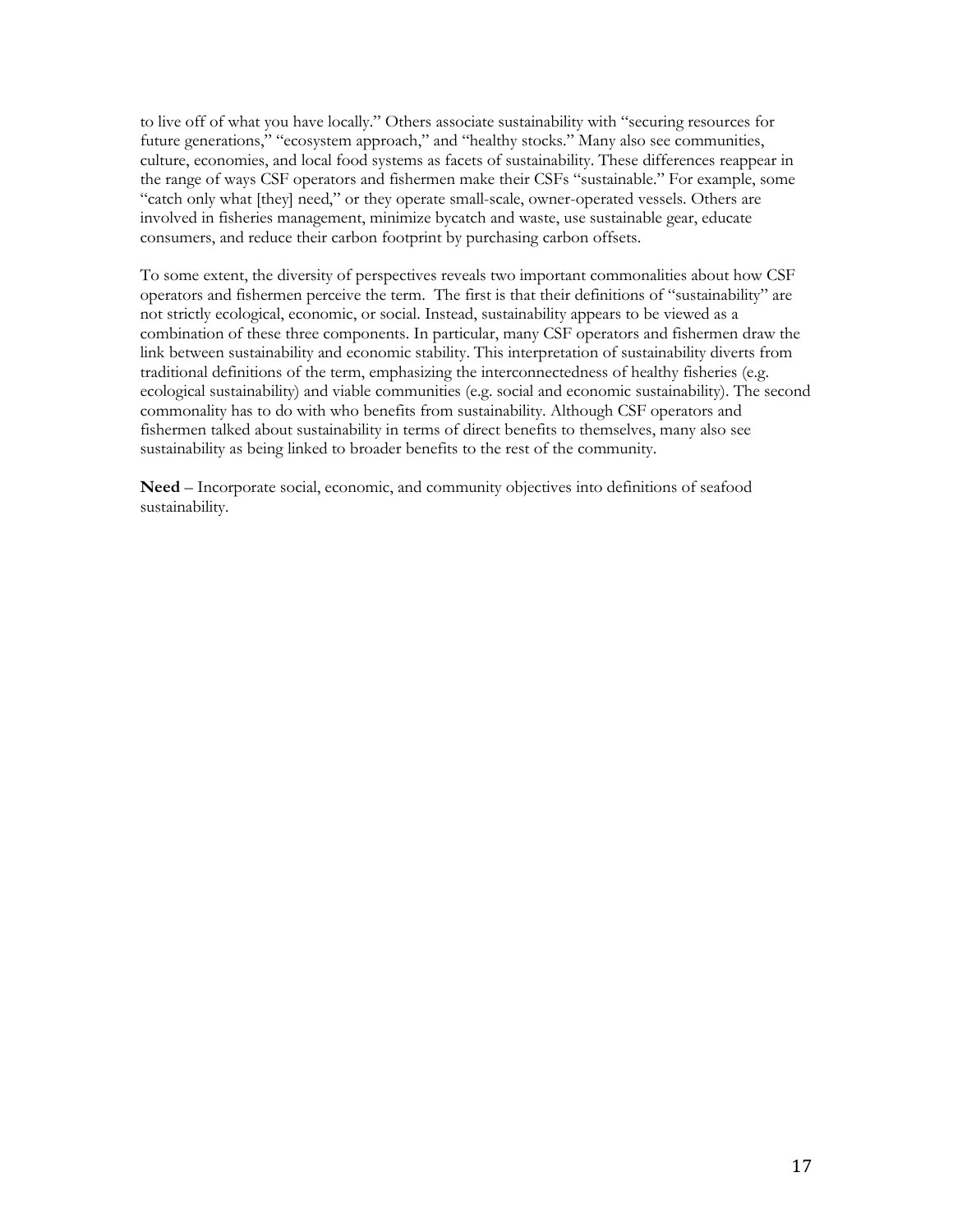to live off of what you have locally." Others associate sustainability with "securing resources for future generations," "ecosystem approach," and "healthy stocks." Many also see communities, culture, economies, and local food systems as facets of sustainability. These differences reappear in the range of ways CSF operators and fishermen make their CSFs "sustainable." For example, some "catch only what [they] need," or they operate small-scale, owner-operated vessels. Others are involved in fisheries management, minimize bycatch and waste, use sustainable gear, educate consumers, and reduce their carbon footprint by purchasing carbon offsets.

To some extent, the diversity of perspectives reveals two important commonalities about how CSF operators and fishermen perceive the term. The first is that their definitions of "sustainability" are not strictly ecological, economic, or social. Instead, sustainability appears to be viewed as a combination of these three components. In particular, many CSF operators and fishermen draw the link between sustainability and economic stability. This interpretation of sustainability diverts from traditional definitions of the term, emphasizing the interconnectedness of healthy fisheries (e.g. ecological sustainability) and viable communities (e.g. social and economic sustainability). The second commonality has to do with who benefits from sustainability. Although CSF operators and fishermen talked about sustainability in terms of direct benefits to themselves, many also see sustainability as being linked to broader benefits to the rest of the community.

Need – Incorporate social, economic, and community objectives into definitions of seafood sustainability.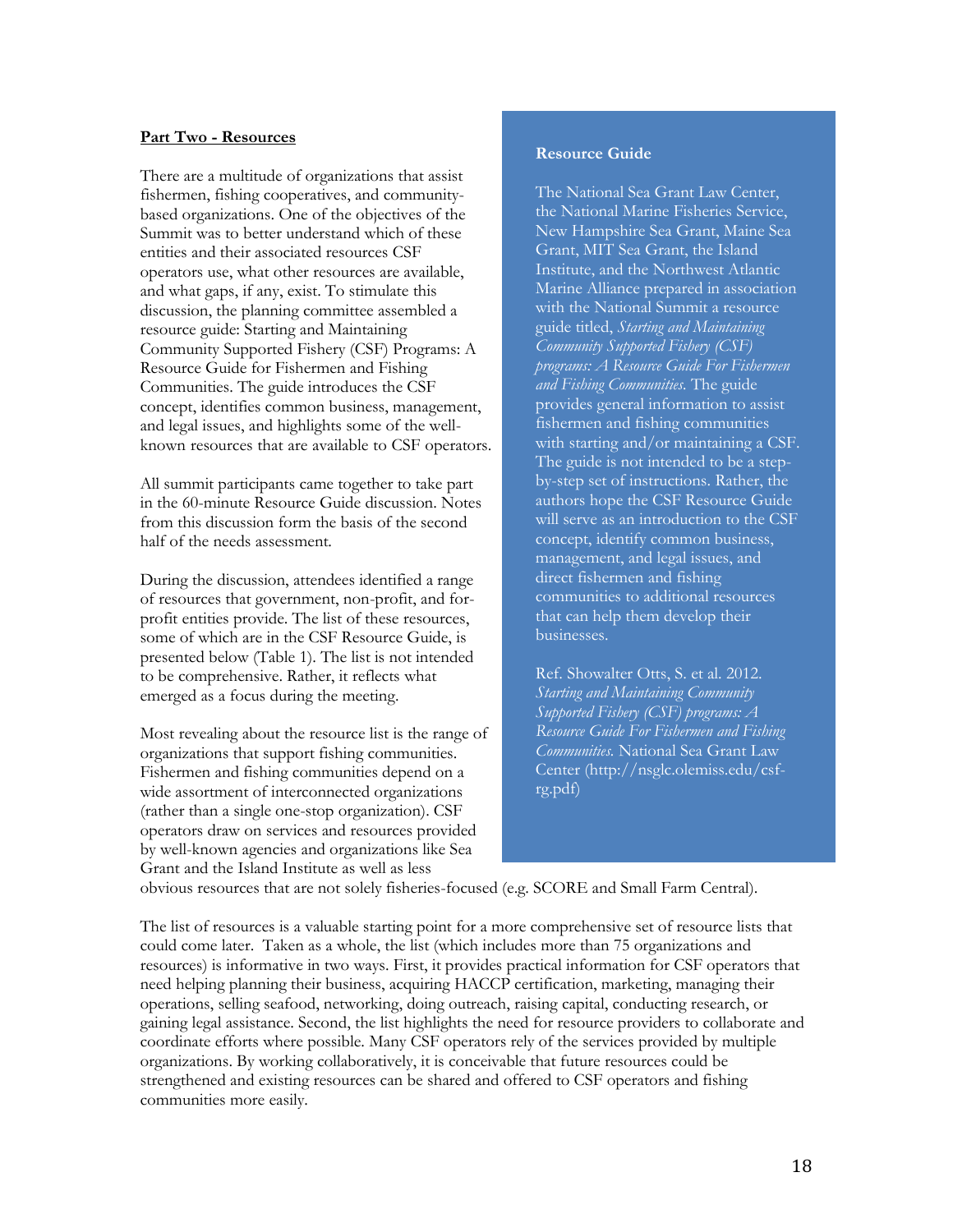#### <span id="page-17-0"></span>**Part Two - Resources**

There are a multitude of organizations that assist fishermen, fishing cooperatives, and communitybased organizations. One of the objectives of the Summit was to better understand which of these entities and their associated resources CSF operators use, what other resources are available, and what gaps, if any, exist. To stimulate this discussion, the planning committee assembled a resource guide: Starting and Maintaining Community Supported Fishery (CSF) Programs: A Resource Guide for Fishermen and Fishing Communities. The guide introduces the CSF concept, identifies common business, management, and legal issues, and highlights some of the wellknown resources that are available to CSF operators.

All summit participants came together to take part in the 60-minute Resource Guide discussion. Notes from this discussion form the basis of the second half of the needs assessment.

During the discussion, attendees identified a range of resources that government, non-profit, and forprofit entities provide. The list of these resources, some of which are in the CSF Resource Guide, is presented below (Table 1). The list is not intended to be comprehensive. Rather, it reflects what emerged as a focus during the meeting.

Most revealing about the resource list is the range of organizations that support fishing communities. Fishermen and fishing communities depend on a wide assortment of interconnected organizations (rather than a single one-stop organization). CSF operators draw on services and resources provided by well-known agencies and organizations like Sea Grant and the Island Institute as well as less

#### **Resource Guide**

The National Sea Grant Law Center, the National Marine Fisheries Service, New Hampshire Sea Grant, Maine Sea Grant, MIT Sea Grant, the Island Institute, and the Northwest Atlantic Marine Alliance prepared in association with the National Summit a resource guide titled, *Starting and Maintaining Community Supported Fishery (CSF) programs: A Resource Guide For Fishermen and Fishing Communities.* The guide provides general information to assist fishermen and fishing communities with starting and/or maintaining a CSF. The guide is not intended to be a stepby-step set of instructions. Rather, the authors hope the CSF Resource Guide will serve as an introduction to the CSF concept, identify common business, management, and legal issues, and direct fishermen and fishing communities to additional resources that can help them develop their businesses.

Ref. Showalter Otts, S. et al. 2012. *Starting and Maintaining Community Supported Fishery (CSF) programs: A Resource Guide For Fishermen and Fishing Communities.* National Sea Grant Law Center (http://nsglc.olemiss.edu/csfrg.pdf)

obvious resources that are not solely fisheries-focused (e.g. SCORE and Small Farm Central).

The list of resources is a valuable starting point for a more comprehensive set of resource lists that could come later. Taken as a whole, the list (which includes more than 75 organizations and resources) is informative in two ways. First, it provides practical information for CSF operators that need helping planning their business, acquiring HACCP certification, marketing, managing their operations, selling seafood, networking, doing outreach, raising capital, conducting research, or gaining legal assistance. Second, the list highlights the need for resource providers to collaborate and coordinate efforts where possible. Many CSF operators rely of the services provided by multiple organizations. By working collaboratively, it is conceivable that future resources could be strengthened and existing resources can be shared and offered to CSF operators and fishing communities more easily.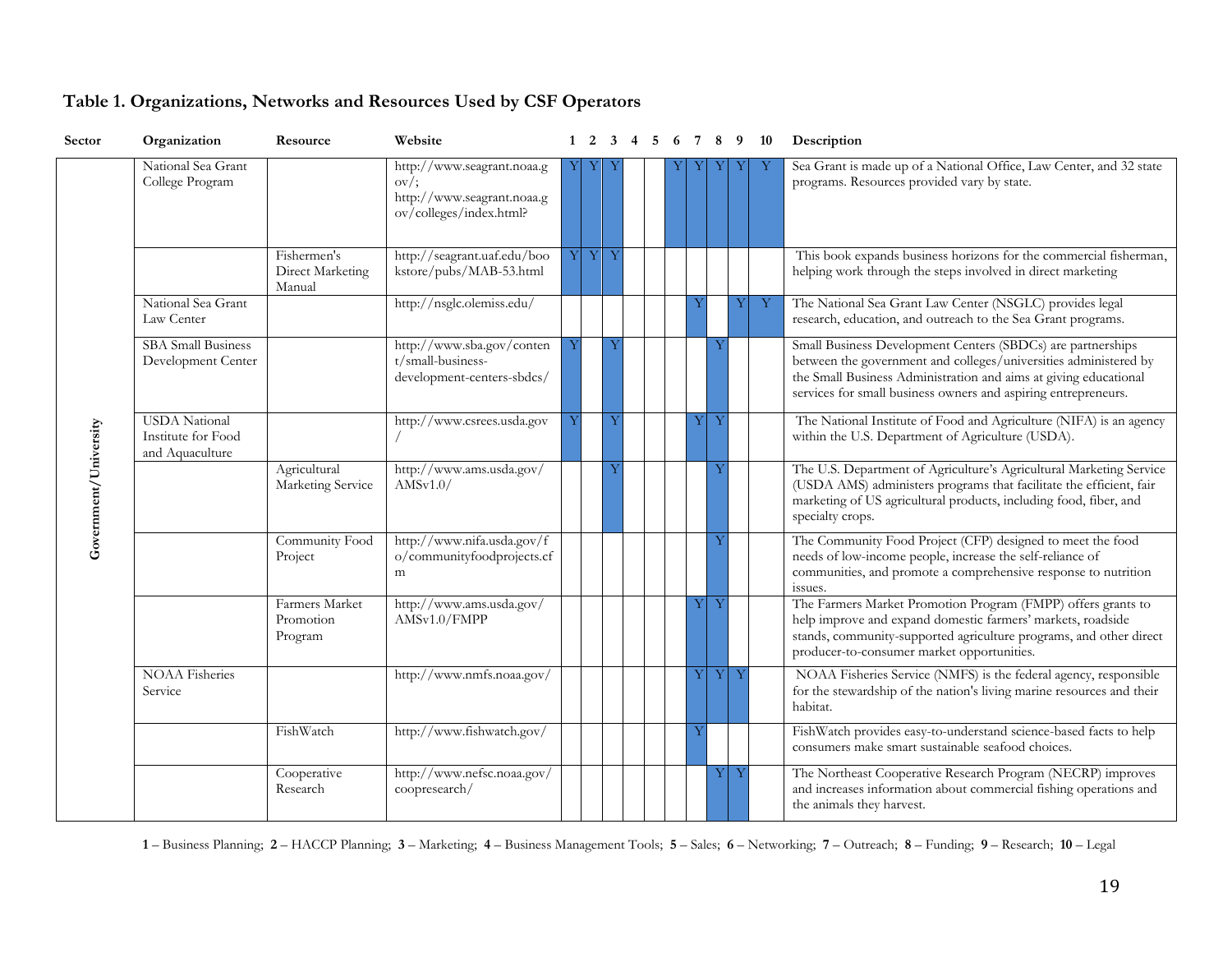| Sector                | Organization                                                  | Resource                                  | Website                                                                                               |   |   |   | 1 2 3 4 5 6 7 8 9 10 |   |    |   |   | Description                                                                                                                                                                                                                                                           |
|-----------------------|---------------------------------------------------------------|-------------------------------------------|-------------------------------------------------------------------------------------------------------|---|---|---|----------------------|---|----|---|---|-----------------------------------------------------------------------------------------------------------------------------------------------------------------------------------------------------------------------------------------------------------------------|
|                       | National Sea Grant<br>College Program                         |                                           | http://www.seagrant.noaa.g<br>$\text{ov}/$ ;<br>http://www.seagrant.noaa.g<br>ov/colleges/index.html? |   |   |   |                      |   |    |   |   | Sea Grant is made up of a National Office, Law Center, and 32 state<br>programs. Resources provided vary by state.                                                                                                                                                    |
|                       |                                                               | Fishermen's<br>Direct Marketing<br>Manual | http://seagrant.uaf.edu/boo<br>kstore/pubs/MAB-53.html                                                | Y | Y | Y |                      |   |    |   |   | This book expands business horizons for the commercial fisherman,<br>helping work through the steps involved in direct marketing                                                                                                                                      |
|                       | National Sea Grant<br>Law Center                              |                                           | http://nsglc.olemiss.edu/                                                                             |   |   |   |                      |   |    |   | Υ | The National Sea Grant Law Center (NSGLC) provides legal<br>research, education, and outreach to the Sea Grant programs.                                                                                                                                              |
|                       | <b>SBA</b> Small Business<br>Development Center               |                                           | http://www.sba.gov/conten<br>t/small-business-<br>development-centers-sbdcs/                          |   |   |   |                      |   | Ÿ  |   |   | Small Business Development Centers (SBDCs) are partnerships<br>between the government and colleges/universities administered by<br>the Small Business Administration and aims at giving educational<br>services for small business owners and aspiring entrepreneurs. |
|                       | <b>USDA</b> National<br>Institute for Food<br>and Aquaculture |                                           | http://www.csrees.usda.gov                                                                            |   |   |   |                      |   | Y  |   |   | The National Institute of Food and Agriculture (NIFA) is an agency<br>within the U.S. Department of Agriculture (USDA).                                                                                                                                               |
| Government/University |                                                               | Agricultural<br>Marketing Service         | http://www.ams.usda.gov/<br>AMSv1.0/                                                                  |   |   |   |                      |   | Y  |   |   | The U.S. Department of Agriculture's Agricultural Marketing Service<br>(USDA AMS) administers programs that facilitate the efficient, fair<br>marketing of US agricultural products, including food, fiber, and<br>specialty crops.                                   |
|                       |                                                               | Community Food<br>Project                 | http://www.nifa.usda.gov/f<br>o/communityfoodprojects.cf<br>m                                         |   |   |   |                      |   | Ÿ  |   |   | The Community Food Project (CFP) designed to meet the food<br>needs of low-income people, increase the self-reliance of<br>communities, and promote a comprehensive response to nutrition<br>issues.                                                                  |
|                       |                                                               | Farmers Market<br>Promotion<br>Program    | http://www.ams.usda.gov/<br>AMSv1.0/FMPP                                                              |   |   |   |                      |   | Y  |   |   | The Farmers Market Promotion Program (FMPP) offers grants to<br>help improve and expand domestic farmers' markets, roadside<br>stands, community-supported agriculture programs, and other direct<br>producer-to-consumer market opportunities.                       |
|                       | <b>NOAA Fisheries</b><br>Service                              |                                           | http://www.nmfs.noaa.gov/                                                                             |   |   |   |                      | Υ | YY |   |   | NOAA Fisheries Service (NMFS) is the federal agency, responsible<br>for the stewardship of the nation's living marine resources and their<br>habitat.                                                                                                                 |
|                       |                                                               | FishWatch                                 | http://www.fishwatch.gov/                                                                             |   |   |   |                      |   |    |   |   | FishWatch provides easy-to-understand science-based facts to help<br>consumers make smart sustainable seafood choices.                                                                                                                                                |
|                       |                                                               | Cooperative<br>Research                   | http://www.nefsc.noaa.gov/<br>coopresearch/                                                           |   |   |   |                      |   | Υl | Y |   | The Northeast Cooperative Research Program (NECRP) improves<br>and increases information about commercial fishing operations and<br>the animals they harvest.                                                                                                         |

## **Table 1. Organizations, Networks and Resources Used by CSF Operators**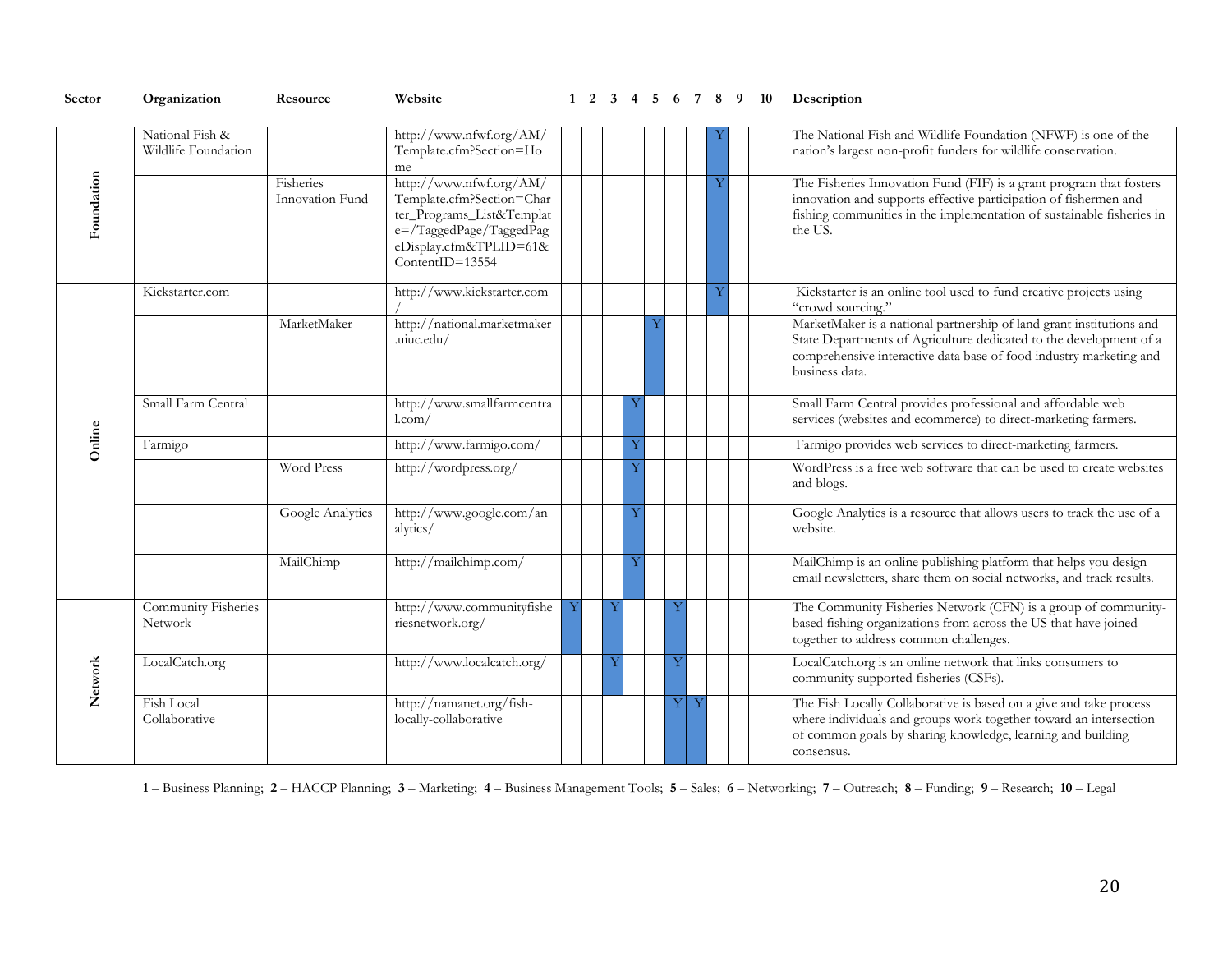| Sector     | Organization                                 | Resource                     | Website                                                                                                                                                     |  |   |   | $1 \t2 \t3 \t4 \t5 \t6 \t7 \t8 \t9 \t10$ |  | Description                                                                                                                                                                                                                        |
|------------|----------------------------------------------|------------------------------|-------------------------------------------------------------------------------------------------------------------------------------------------------------|--|---|---|------------------------------------------|--|------------------------------------------------------------------------------------------------------------------------------------------------------------------------------------------------------------------------------------|
|            | National Fish &<br>Wildlife Foundation       |                              | http://www.nfwf.org/AM/<br>Template.cfm?Section=Ho<br>me                                                                                                    |  |   |   |                                          |  | The National Fish and Wildlife Foundation (NFWF) is one of the<br>nation's largest non-profit funders for wildlife conservation.                                                                                                   |
| Foundation |                                              | Fisheries<br>Innovation Fund | http://www.nfwf.org/AM/<br>Template.cfm?Section=Char<br>ter_Programs_List&Templat<br>e=/TaggedPage/TaggedPag<br>eDisplay.cfm&TPLID=61&<br>$ContentID=13554$ |  |   |   |                                          |  | The Fisheries Innovation Fund (FIF) is a grant program that fosters<br>innovation and supports effective participation of fishermen and<br>fishing communities in the implementation of sustainable fisheries in<br>the US.        |
|            | Kickstarter.com                              |                              | http://www.kickstarter.com                                                                                                                                  |  |   |   |                                          |  | Kickstarter is an online tool used to fund creative projects using<br>"crowd sourcing."                                                                                                                                            |
|            |                                              | MarketMaker                  | http://national.marketmaker<br>.uiuc.edu/                                                                                                                   |  |   |   |                                          |  | MarketMaker is a national partnership of land grant institutions and<br>State Departments of Agriculture dedicated to the development of a<br>comprehensive interactive data base of food industry marketing and<br>business data. |
|            | Small Farm Central                           |                              | http://www.smallfarmcentra<br>$1$ .com/                                                                                                                     |  | Ÿ |   |                                          |  | Small Farm Central provides professional and affordable web<br>services (websites and ecommerce) to direct-marketing farmers.                                                                                                      |
| Online     | Farmigo                                      |                              | http://www.farmigo.com/                                                                                                                                     |  | Ÿ |   |                                          |  | Farmigo provides web services to direct-marketing farmers.                                                                                                                                                                         |
|            |                                              | Word Press                   | http://wordpress.org/                                                                                                                                       |  | Ÿ |   |                                          |  | WordPress is a free web software that can be used to create websites<br>and blogs.                                                                                                                                                 |
|            |                                              | Google Analytics             | http://www.google.com/an<br>alytics/                                                                                                                        |  | Ÿ |   |                                          |  | Google Analytics is a resource that allows users to track the use of a<br>website.                                                                                                                                                 |
|            |                                              | MailChimp                    | http://mailchimp.com/                                                                                                                                       |  |   |   |                                          |  | MailChimp is an online publishing platform that helps you design<br>email newsletters, share them on social networks, and track results.                                                                                           |
|            | <b>Community Fisheries</b><br><b>Network</b> |                              | http://www.communityfishe<br>riesnetwork.org/                                                                                                               |  |   |   |                                          |  | The Community Fisheries Network (CFN) is a group of community-<br>based fishing organizations from across the US that have joined<br>together to address common challenges.                                                        |
| Network    | LocalCatch.org                               |                              | http://www.localcatch.org/                                                                                                                                  |  |   | Ÿ |                                          |  | LocalCatch.org is an online network that links consumers to<br>community supported fisheries (CSFs).                                                                                                                               |
|            | <b>Fish Local</b><br>Collaborative           |                              | http://namanet.org/fish-<br>locally-collaborative                                                                                                           |  |   | Y |                                          |  | The Fish Locally Collaborative is based on a give and take process<br>where individuals and groups work together toward an intersection<br>of common goals by sharing knowledge, learning and building<br>consensus.               |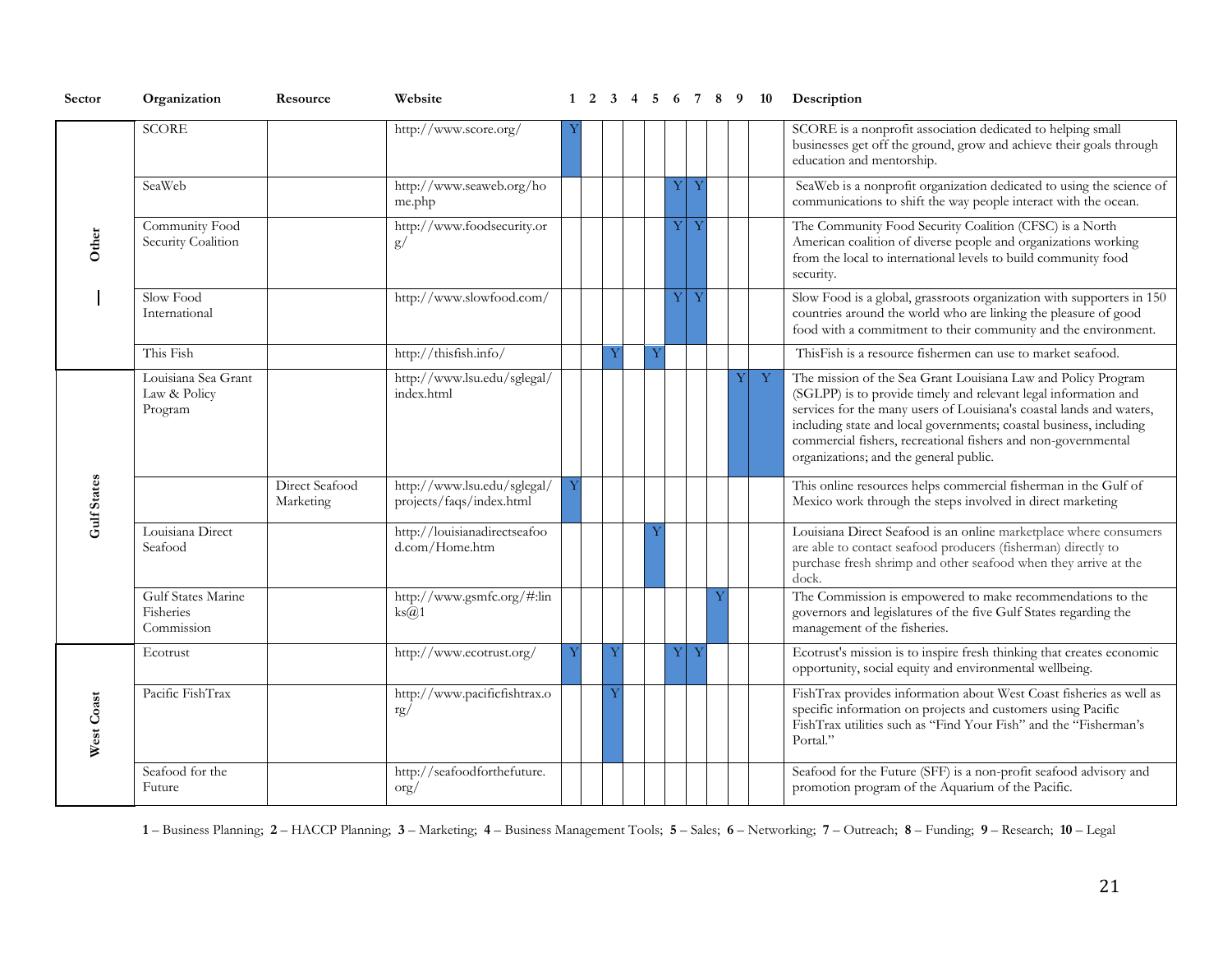| Sector             | Organization                                   | Resource                    | Website                                                 |  |   |   |                  |   |   |              | 1 2 3 4 5 6 7 8 9 10 Description                                                                                                                                                                                                                                                                                                                                                          |
|--------------------|------------------------------------------------|-----------------------------|---------------------------------------------------------|--|---|---|------------------|---|---|--------------|-------------------------------------------------------------------------------------------------------------------------------------------------------------------------------------------------------------------------------------------------------------------------------------------------------------------------------------------------------------------------------------------|
|                    | <b>SCORE</b>                                   |                             | http://www.score.org/                                   |  |   |   |                  |   |   |              | SCORE is a nonprofit association dedicated to helping small<br>businesses get off the ground, grow and achieve their goals through<br>education and mentorship.                                                                                                                                                                                                                           |
|                    | SeaWeb                                         |                             | http://www.seaweb.org/ho<br>me.php                      |  |   |   | $\mathbf Y$<br>Y |   |   |              | SeaWeb is a nonprofit organization dedicated to using the science of<br>communications to shift the way people interact with the ocean.                                                                                                                                                                                                                                                   |
| Other              | Community Food<br>Security Coalition           |                             | http://www.foodsecurity.or<br>g/                        |  |   |   | Y<br>Ŋ           |   |   |              | The Community Food Security Coalition (CFSC) is a North<br>American coalition of diverse people and organizations working<br>from the local to international levels to build community food<br>security.                                                                                                                                                                                  |
|                    | Slow Food<br>International                     |                             | http://www.slowfood.com/                                |  |   |   | Y<br>Y           |   |   |              | Slow Food is a global, grassroots organization with supporters in 150<br>countries around the world who are linking the pleasure of good<br>food with a commitment to their community and the environment.                                                                                                                                                                                |
|                    | This Fish                                      |                             | http://thisfish.info/                                   |  | Y | Ÿ |                  |   |   |              | ThisFish is a resource fishermen can use to market seafood.                                                                                                                                                                                                                                                                                                                               |
|                    | Louisiana Sea Grant<br>Law & Policy<br>Program |                             | http://www.lsu.edu/sglegal/<br>index.html               |  |   |   |                  |   | Y | $\mathbf{Y}$ | The mission of the Sea Grant Louisiana Law and Policy Program<br>(SGLPP) is to provide timely and relevant legal information and<br>services for the many users of Louisiana's coastal lands and waters,<br>including state and local governments; coastal business, including<br>commercial fishers, recreational fishers and non-governmental<br>organizations; and the general public. |
| <b>Gulf States</b> |                                                | Direct Seafood<br>Marketing | http://www.lsu.edu/sglegal/<br>projects/faqs/index.html |  |   |   |                  |   |   |              | This online resources helps commercial fisherman in the Gulf of<br>Mexico work through the steps involved in direct marketing                                                                                                                                                                                                                                                             |
|                    | Louisiana Direct<br>Seafood                    |                             | http://louisianadirectseafoo<br>d.com/Home.htm          |  |   | Ÿ |                  |   |   |              | Louisiana Direct Seafood is an online marketplace where consumers<br>are able to contact seafood producers (fisherman) directly to<br>purchase fresh shrimp and other seafood when they arrive at the<br>dock.                                                                                                                                                                            |
|                    | Gulf States Marine<br>Fisheries<br>Commission  |                             | http://www.gsmfc.org/#:lin<br>$\text{ks}(a)1$           |  |   |   |                  | Y |   |              | The Commission is empowered to make recommendations to the<br>governors and legislatures of the five Gulf States regarding the<br>management of the fisheries.                                                                                                                                                                                                                            |
|                    | Ecotrust                                       |                             | http://www.ecotrust.org/                                |  | Ÿ |   | Y<br>Y           |   |   |              | Ecotrust's mission is to inspire fresh thinking that creates economic<br>opportunity, social equity and environmental wellbeing.                                                                                                                                                                                                                                                          |
| West Coast         | Pacific FishTrax                               |                             | http://www.pacificfishtrax.o<br>rg/                     |  | Ñ |   |                  |   |   |              | FishTrax provides information about West Coast fisheries as well as<br>specific information on projects and customers using Pacific<br>FishTrax utilities such as "Find Your Fish" and the "Fisherman's<br>Portal."                                                                                                                                                                       |
|                    | Seafood for the<br>Future                      |                             | http://seafoodforthefuture.<br>$\alpha$ rg              |  |   |   |                  |   |   |              | Seafood for the Future (SFF) is a non-profit seafood advisory and<br>promotion program of the Aquarium of the Pacific.                                                                                                                                                                                                                                                                    |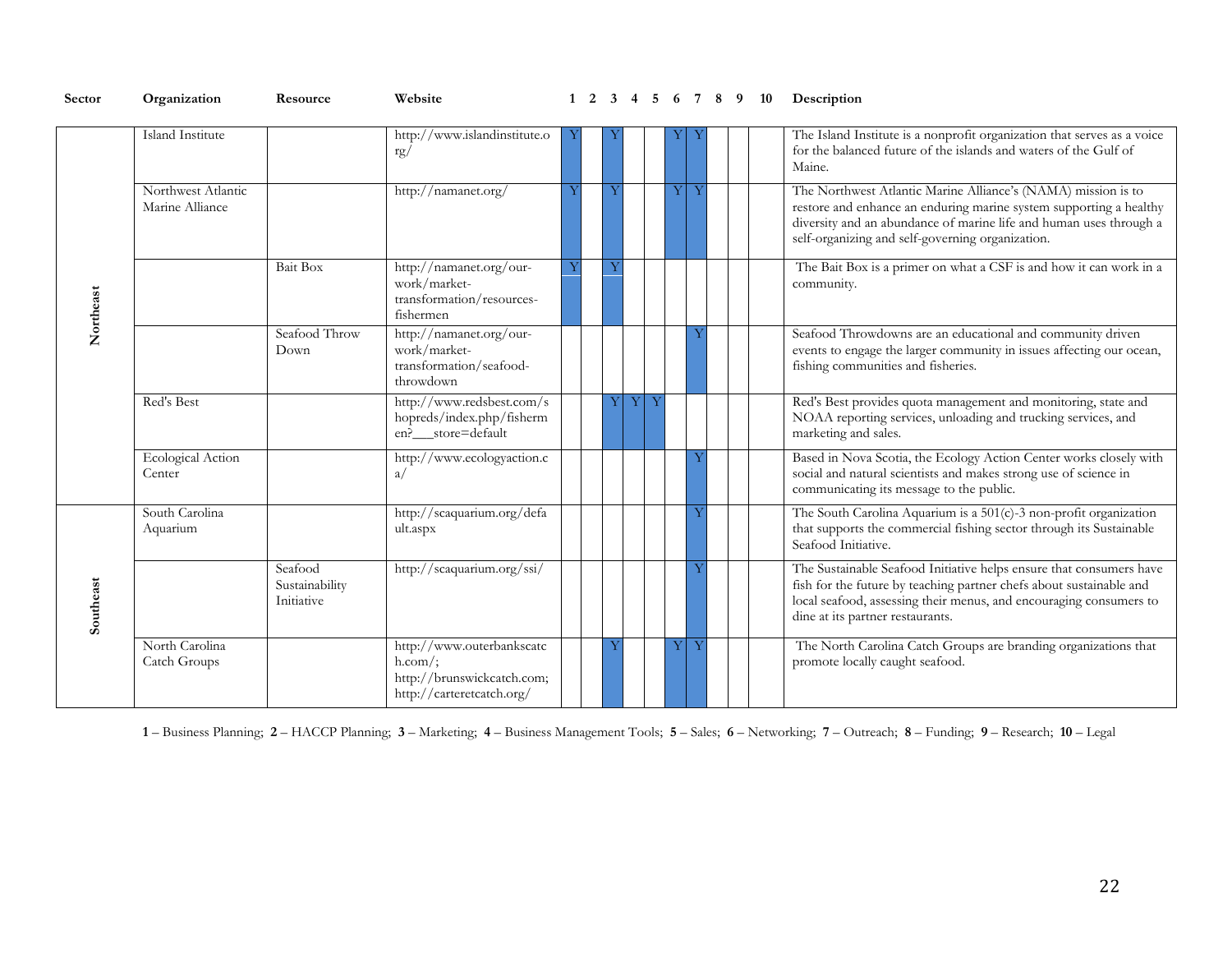| Sector    | Organization                          | Resource                                | Website                                                                                           |  |   | 5 |   | 6 7 8 9 |  | 10 | Description                                                                                                                                                                                                                                                   |
|-----------|---------------------------------------|-----------------------------------------|---------------------------------------------------------------------------------------------------|--|---|---|---|---------|--|----|---------------------------------------------------------------------------------------------------------------------------------------------------------------------------------------------------------------------------------------------------------------|
|           | Island Institute                      |                                         | http://www.islandinstitute.o<br>rg/                                                               |  |   |   |   |         |  |    | The Island Institute is a nonprofit organization that serves as a voice<br>for the balanced future of the islands and waters of the Gulf of<br>Maine.                                                                                                         |
|           | Northwest Atlantic<br>Marine Alliance |                                         | http://namanet.org/                                                                               |  |   |   | Y |         |  |    | The Northwest Atlantic Marine Alliance's (NAMA) mission is to<br>restore and enhance an enduring marine system supporting a healthy<br>diversity and an abundance of marine life and human uses through a<br>self-organizing and self-governing organization. |
| Northeast |                                       | <b>Bait Box</b>                         | http://namanet.org/our-<br>work/market-<br>transformation/resources-<br>fishermen                 |  |   |   |   |         |  |    | The Bait Box is a primer on what a CSF is and how it can work in a<br>community.                                                                                                                                                                              |
|           |                                       | Seafood Throw<br>Down                   | http://namanet.org/our-<br>work/market-<br>transformation/seafood-<br>throwdown                   |  |   |   |   |         |  |    | Seafood Throwdowns are an educational and community driven<br>events to engage the larger community in issues affecting our ocean,<br>fishing communities and fisheries.                                                                                      |
|           | Red's Best                            |                                         | http://www.redsbest.com/s<br>hopreds/index.php/fisherm<br>en?__store=default                      |  | Y | Y |   |         |  |    | Red's Best provides quota management and monitoring, state and<br>NOAA reporting services, unloading and trucking services, and<br>marketing and sales.                                                                                                       |
|           | <b>Ecological Action</b><br>Center    |                                         | http://www.ecologyaction.c<br>a/                                                                  |  |   |   |   |         |  |    | Based in Nova Scotia, the Ecology Action Center works closely with<br>social and natural scientists and makes strong use of science in<br>communicating its message to the public.                                                                            |
|           | South Carolina<br>Aquarium            |                                         | http://scaquarium.org/defa<br>ult.aspx                                                            |  |   |   |   |         |  |    | The South Carolina Aquarium is a $501(c)$ -3 non-profit organization<br>that supports the commercial fishing sector through its Sustainable<br>Seafood Initiative.                                                                                            |
| Southeast |                                       | Seafood<br>Sustainability<br>Initiative | http://scaquarium.org/ssi/                                                                        |  |   |   |   |         |  |    | The Sustainable Seafood Initiative helps ensure that consumers have<br>fish for the future by teaching partner chefs about sustainable and<br>local seafood, assessing their menus, and encouraging consumers to<br>dine at its partner restaurants.          |
|           | North Carolina<br>Catch Groups        |                                         | http://www.outerbankscatc<br>$h.com$ :<br>http://brunswickcatch.com;<br>http://carteretcatch.org/ |  |   |   | Y |         |  |    | The North Carolina Catch Groups are branding organizations that<br>promote locally caught seafood.                                                                                                                                                            |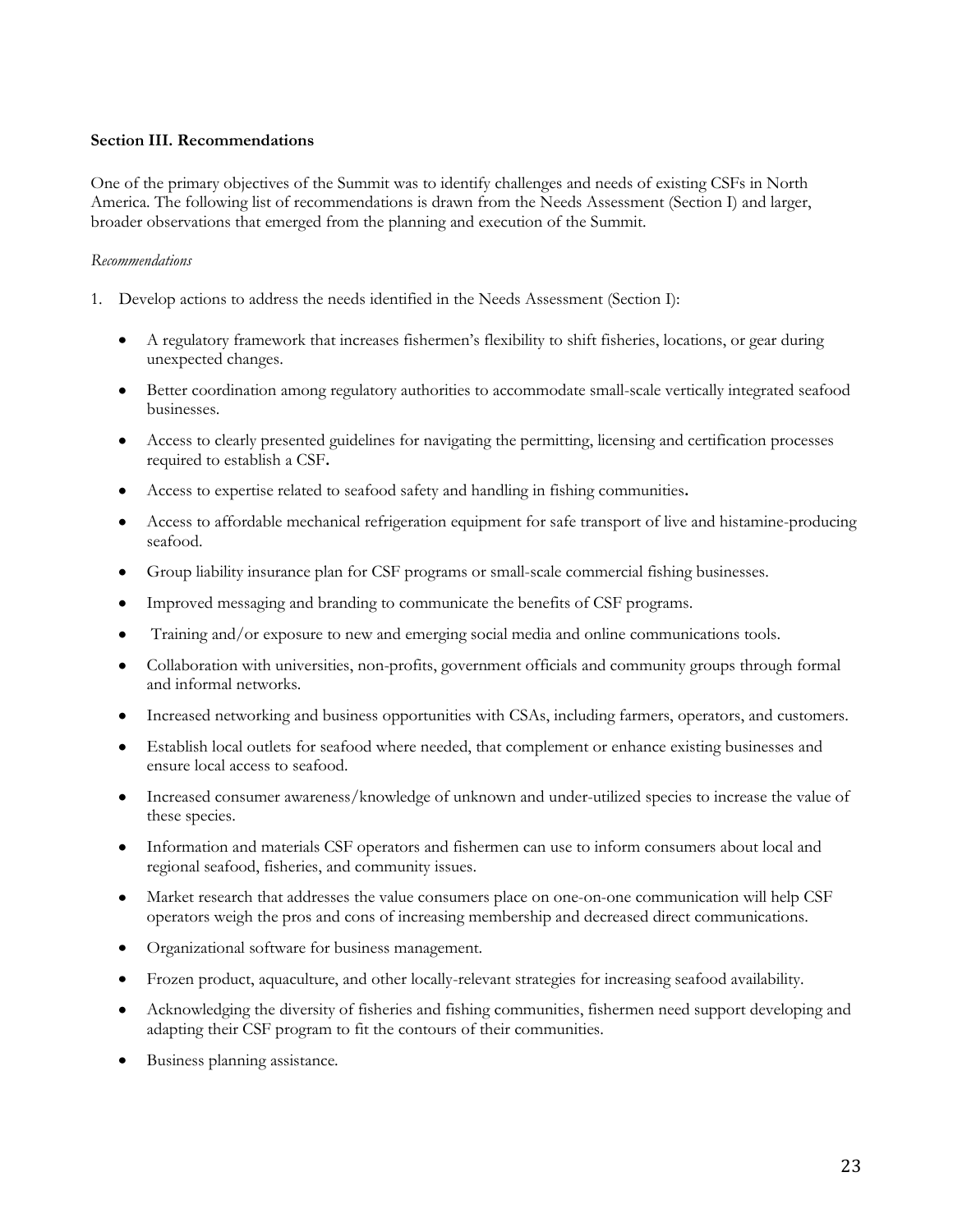## <span id="page-22-0"></span>**Section III. Recommendations**

One of the primary objectives of the Summit was to identify challenges and needs of existing CSFs in North America. The following list of recommendations is drawn from the Needs Assessment (Section I) and larger, broader observations that emerged from the planning and execution of the Summit.

#### *Recommendations*

- 1. Develop actions to address the needs identified in the Needs Assessment (Section I):
	- $\bullet$ A regulatory framework that increases fishermen's flexibility to shift fisheries, locations, or gear during unexpected changes.
	- Better coordination among regulatory authorities to accommodate small-scale vertically integrated seafood  $\bullet$ businesses.
	- Access to clearly presented guidelines for navigating the permitting, licensing and certification processes required to establish a CSF**.**
	- Access to expertise related to seafood safety and handling in fishing communities**.**
	- Access to affordable mechanical refrigeration equipment for safe transport of live and histamine-producing  $\bullet$ seafood.
	- Group liability insurance plan for CSF programs or small-scale commercial fishing businesses.
	- Improved messaging and branding to communicate the benefits of CSF programs.  $\bullet$
	- Training and/or exposure to new and emerging social media and online communications tools.  $\bullet$
	- $\bullet$ Collaboration with universities, non-profits, government officials and community groups through formal and informal networks.
	- $\bullet$ Increased networking and business opportunities with CSAs, including farmers, operators, and customers.
	- Establish local outlets for seafood where needed, that complement or enhance existing businesses and  $\bullet$ ensure local access to seafood.
	- Increased consumer awareness/knowledge of unknown and under-utilized species to increase the value of  $\bullet$ these species.
	- Information and materials CSF operators and fishermen can use to inform consumers about local and  $\bullet$ regional seafood, fisheries, and community issues.
	- Market research that addresses the value consumers place on one-on-one communication will help CSF  $\bullet$ operators weigh the pros and cons of increasing membership and decreased direct communications.
	- Organizational software for business management.  $\bullet$
	- Frozen product, aquaculture, and other locally-relevant strategies for increasing seafood availability.  $\bullet$
	- Acknowledging the diversity of fisheries and fishing communities, fishermen need support developing and  $\bullet$ adapting their CSF program to fit the contours of their communities.
	- Business planning assistance.  $\bullet$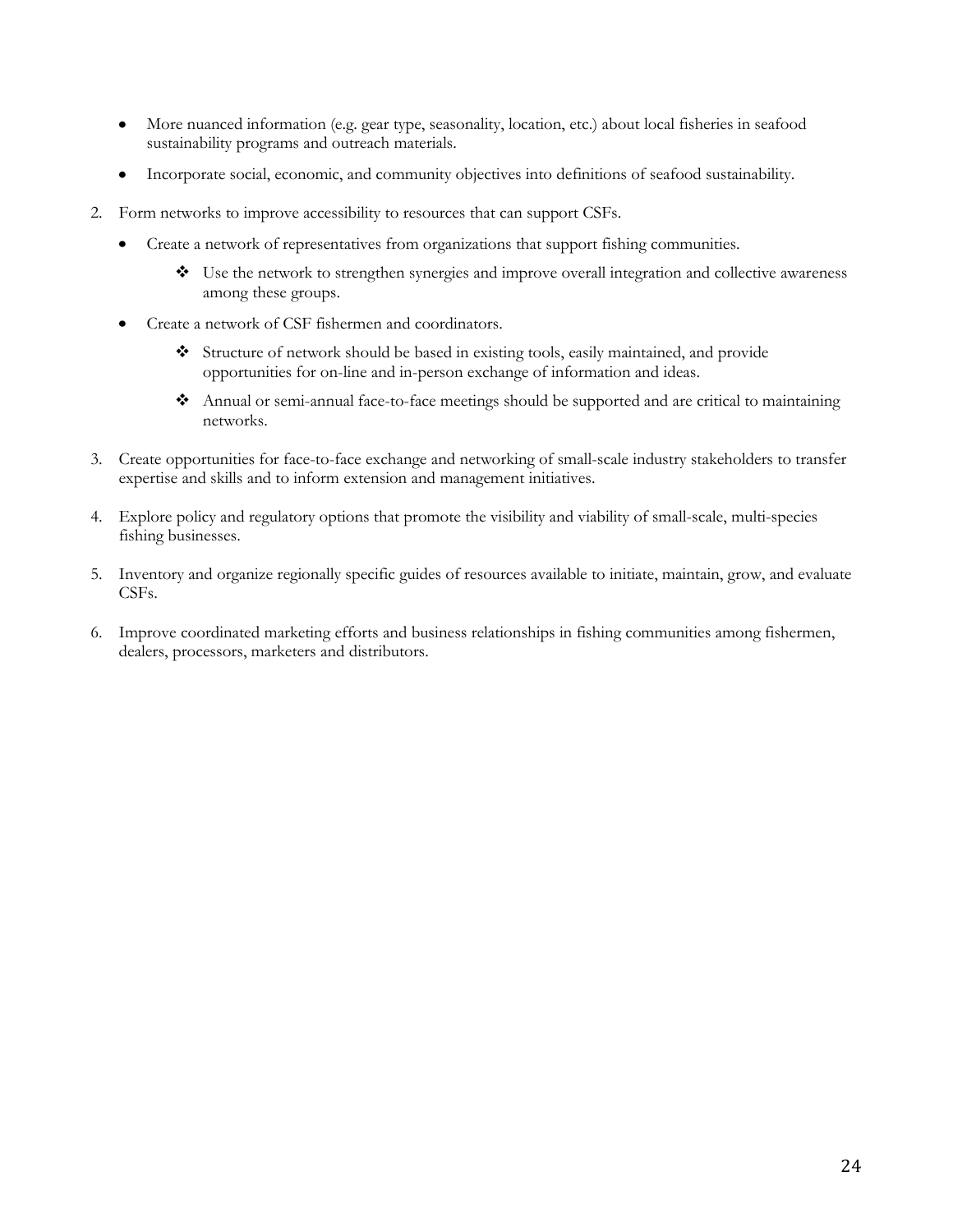- More nuanced information (e.g. gear type, seasonality, location, etc.) about local fisheries in seafood  $\bullet$ sustainability programs and outreach materials.
- Incorporate social, economic, and community objectives into definitions of seafood sustainability.  $\bullet$
- 2. Form networks to improve accessibility to resources that can support CSFs.
	- $\bullet$ Create a network of representatives from organizations that support fishing communities.
		- Use the network to strengthen synergies and improve overall integration and collective awareness among these groups.
	- Create a network of CSF fishermen and coordinators.  $\bullet$ 
		- Structure of network should be based in existing tools, easily maintained, and provide opportunities for on-line and in-person exchange of information and ideas.
		- Annual or semi-annual face-to-face meetings should be supported and are critical to maintaining networks.
- 3. Create opportunities for face-to-face exchange and networking of small-scale industry stakeholders to transfer expertise and skills and to inform extension and management initiatives.
- 4. Explore policy and regulatory options that promote the visibility and viability of small-scale, multi-species fishing businesses.
- 5. Inventory and organize regionally specific guides of resources available to initiate, maintain, grow, and evaluate CSFs.
- 6. Improve coordinated marketing efforts and business relationships in fishing communities among fishermen, dealers, processors, marketers and distributors.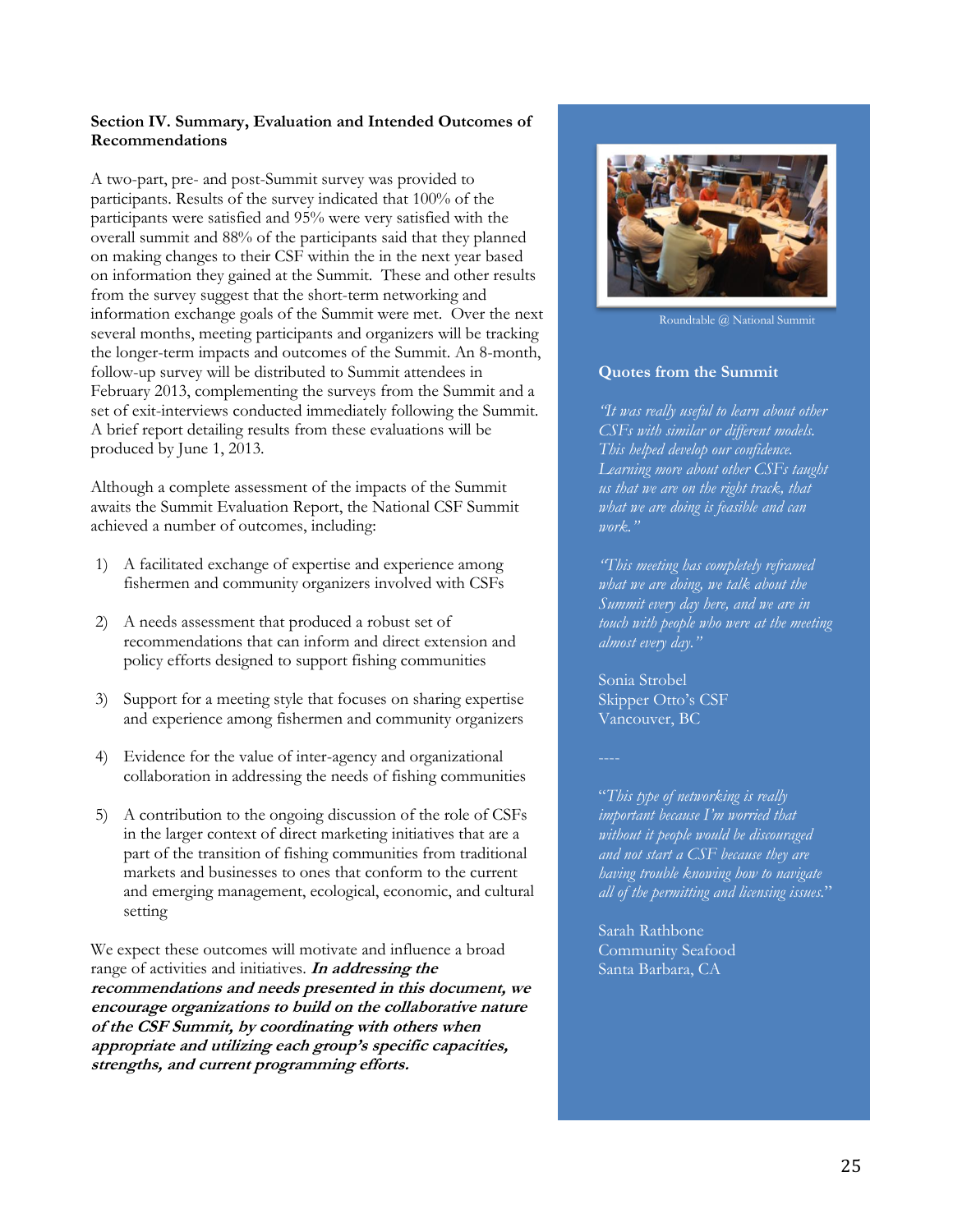#### **Section IV. Summary, Evaluation and Intended Outcomes of Recommendations**

A two-part, pre- and post-Summit survey was provided to participants. Results of the survey indicated that 100% of the participants were satisfied and 95% were very satisfied with the overall summit and 88% of the participants said that they planned on making changes to their CSF within the in the next year based on information they gained at the Summit. These and other results from the survey suggest that the short-term networking and information exchange goals of the Summit were met. Over the next several months, meeting participants and organizers will be tracking the longer-term impacts and outcomes of the Summit. An 8-month, follow-up survey will be distributed to Summit attendees in February 2013, complementing the surveys from the Summit and a set of exit-interviews conducted immediately following the Summit. A brief report detailing results from these evaluations will be produced by June 1, 2013.

Although a complete assessment of the impacts of the Summit awaits the Summit Evaluation Report, the National CSF Summit achieved a number of outcomes, including:

- 1) A facilitated exchange of expertise and experience among fishermen and community organizers involved with CSFs
- 2) A needs assessment that produced a robust set of recommendations that can inform and direct extension and policy efforts designed to support fishing communities
- 3) Support for a meeting style that focuses on sharing expertise and experience among fishermen and community organizers
- 4) Evidence for the value of inter-agency and organizational collaboration in addressing the needs of fishing communities
- 5) A contribution to the ongoing discussion of the role of CSFs in the larger context of direct marketing initiatives that are a part of the transition of fishing communities from traditional markets and businesses to ones that conform to the current and emerging management, ecological, economic, and cultural setting

<span id="page-24-0"></span>We expect these outcomes will motivate and influence a broad range of activities and initiatives. **In addressing the recommendations and needs presented in this document, we encourage organizations to build on the collaborative nature of the CSF Summit, by coordinating with others when**  appropriate and utilizing each group's specific capacities, **strengths, and current programming efforts.** 



Roundtable @ National Summit

## **Quotes from the Summit**

*'It was really useful to learn about other CSFs with similar or different models. This helped develop our confidence. Learning more about other CSFs taught us that we are on the right track, that what we are doing is feasible and can*   $\n *work.*$ 

*'This meeting has completely reframed what we are doing, we talk about the Summit every day here, and we are in touch with people who were at the meeting dlmost every day.*"

Sonia Strobel Skipper Otto's CSF Vancouver, BC

´*This type of networking is really Limportant because I'm worried that without it people would be discouraged and not start a CSF because they are having trouble knowing how to navigate all of the permitting and licensing issues.*µ

Sarah Rathbone Community Seafood Santa Barbara, CA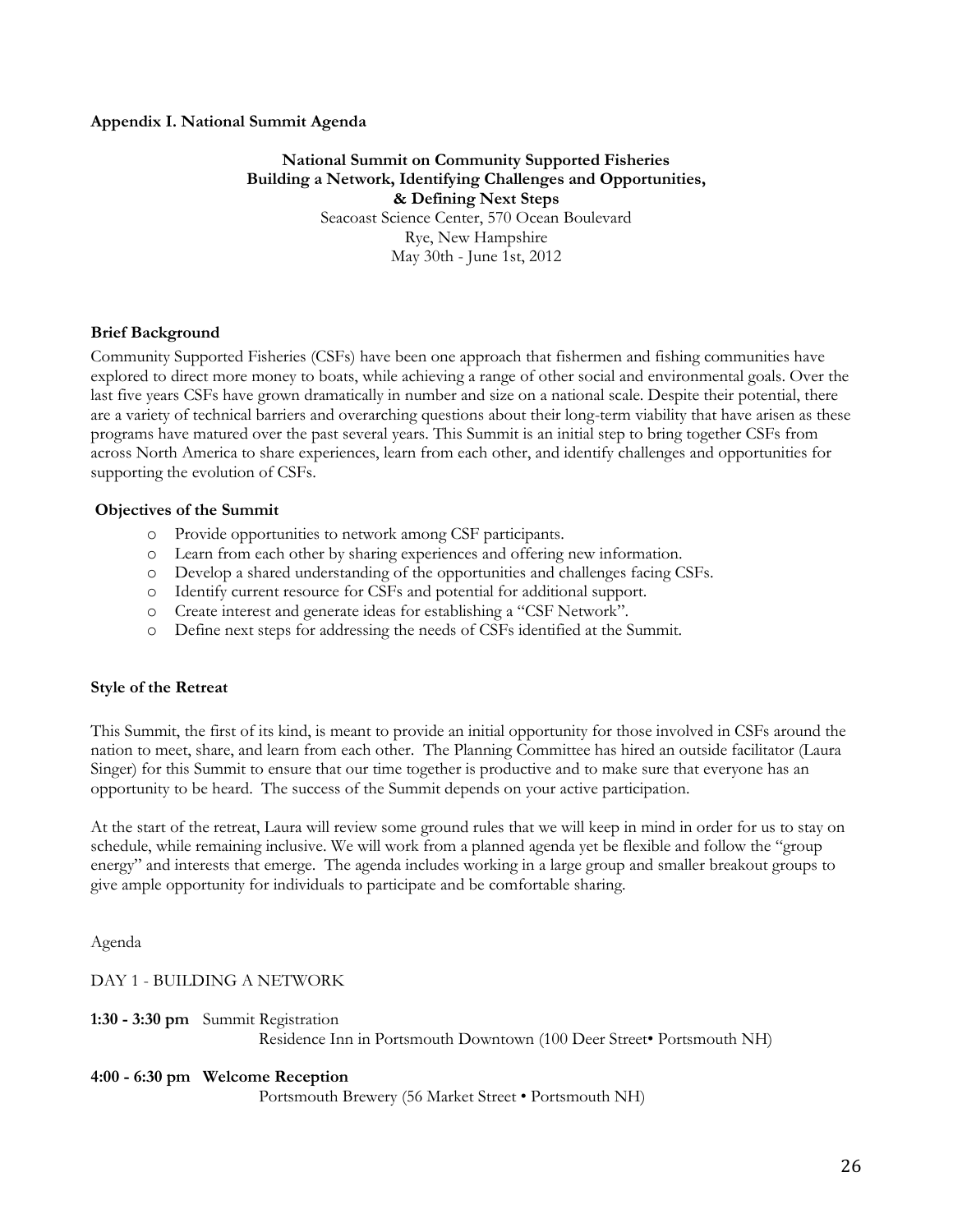#### **Appendix I. National Summit Agenda**

## **National Summit on Community Supported Fisheries Building a Network, Identifying Challenges and Opportunities, & Defining Next Steps**

Seacoast Science Center, 570 Ocean Boulevard Rye, New Hampshire May 30th - June 1st, 2012

#### **Brief Background**

Community Supported Fisheries (CSFs) have been one approach that fishermen and fishing communities have explored to direct more money to boats, while achieving a range of other social and environmental goals. Over the last five years CSFs have grown dramatically in number and size on a national scale. Despite their potential, there are a variety of technical barriers and overarching questions about their long-term viability that have arisen as these programs have matured over the past several years. This Summit is an initial step to bring together CSFs from across North America to share experiences, learn from each other, and identify challenges and opportunities for supporting the evolution of CSFs.

#### **Objectives of the Summit**

- o Provide opportunities to network among CSF participants.
- o Learn from each other by sharing experiences and offering new information.
- o Develop a shared understanding of the opportunities and challenges facing CSFs.
- o Identify current resource for CSFs and potential for additional support.
- o Create interest and generate ideas for establishing a "CSF Network".
- o Define next steps for addressing the needs of CSFs identified at the Summit.

#### **Style of the Retreat**

This Summit, the first of its kind, is meant to provide an initial opportunity for those involved in CSFs around the nation to meet, share, and learn from each other. The Planning Committee has hired an outside facilitator (Laura Singer) for this Summit to ensure that our time together is productive and to make sure that everyone has an opportunity to be heard. The success of the Summit depends on your active participation.

At the start of the retreat, Laura will review some ground rules that we will keep in mind in order for us to stay on schedule, while remaining inclusive. We will work from a planned agenda yet be flexible and follow the "group energy" and interests that emerge. The agenda includes working in a large group and smaller breakout groups to give ample opportunity for individuals to participate and be comfortable sharing.

Agenda

DAY 1 - BUILDING A NETWORK

**1:30 - 3:30 pm** Summit Registration Residence Inn in Portsmouth Downtown (100 Deer Street• Portsmouth NH)

#### **4:00 - 6:30 pm Welcome Reception**

Portsmouth Brewery (56 Market Street • Portsmouth NH)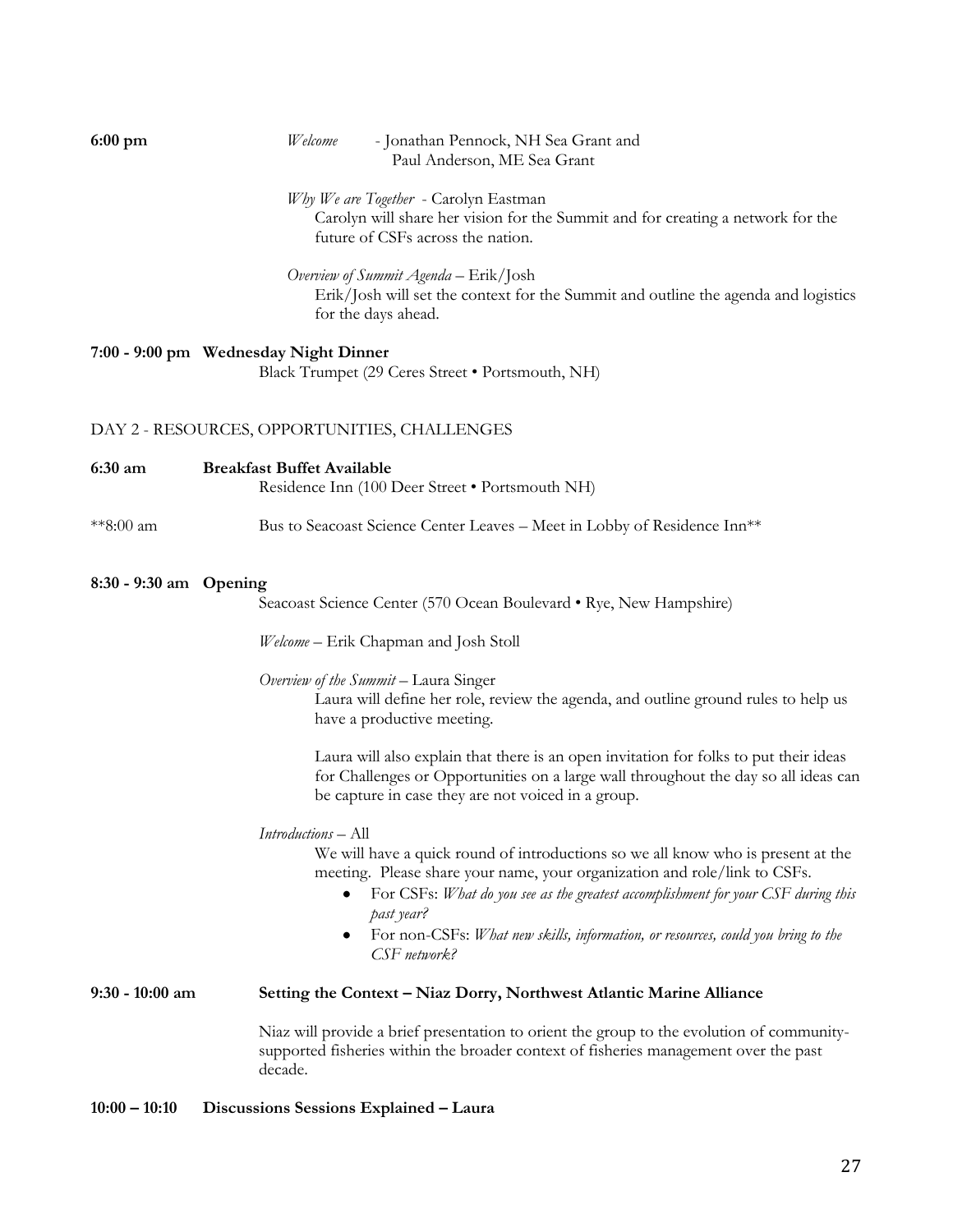| $6:00$ pm              | Welcome<br>- Jonathan Pennock, NH Sea Grant and<br>Paul Anderson, ME Sea Grant                                                                                                                                                                                                                                                                                                                   |
|------------------------|--------------------------------------------------------------------------------------------------------------------------------------------------------------------------------------------------------------------------------------------------------------------------------------------------------------------------------------------------------------------------------------------------|
|                        | Why We are Together - Carolyn Eastman<br>Carolyn will share her vision for the Summit and for creating a network for the<br>future of CSFs across the nation.                                                                                                                                                                                                                                    |
|                        | Overview of Summit Agenda – Erik/Josh<br>Erik/Josh will set the context for the Summit and outline the agenda and logistics<br>for the days ahead.                                                                                                                                                                                                                                               |
|                        | 7:00 - 9:00 pm Wednesday Night Dinner<br>Black Trumpet (29 Ceres Street • Portsmouth, NH)                                                                                                                                                                                                                                                                                                        |
|                        | DAY 2 - RESOURCES, OPPORTUNITIES, CHALLENGES                                                                                                                                                                                                                                                                                                                                                     |
| 6:30 am                | <b>Breakfast Buffet Available</b><br>Residence Inn (100 Deer Street · Portsmouth NH)                                                                                                                                                                                                                                                                                                             |
| **8:00 am              | Bus to Seacoast Science Center Leaves - Meet in Lobby of Residence Inn <sup>**</sup>                                                                                                                                                                                                                                                                                                             |
| 8:30 - 9:30 am Opening | Seacoast Science Center (570 Ocean Boulevard • Rye, New Hampshire)                                                                                                                                                                                                                                                                                                                               |
|                        | Welcome – Erik Chapman and Josh Stoll                                                                                                                                                                                                                                                                                                                                                            |
|                        | Overview of the Summit - Laura Singer<br>Laura will define her role, review the agenda, and outline ground rules to help us<br>have a productive meeting.                                                                                                                                                                                                                                        |
|                        | Laura will also explain that there is an open invitation for folks to put their ideas<br>for Challenges or Opportunities on a large wall throughout the day so all ideas can<br>be capture in case they are not voiced in a group.                                                                                                                                                               |
|                        | Introductions - All<br>We will have a quick round of introductions so we all know who is present at the<br>meeting. Please share your name, your organization and role/link to CSFs.<br>For CSFs: What do you see as the greatest accomplishment for your CSF during this<br>past year?<br>For non-CSFs: What new skills, information, or resources, could you bring to the<br>٠<br>CSF network? |
| $9:30 - 10:00$ am      | Setting the Context - Niaz Dorry, Northwest Atlantic Marine Alliance                                                                                                                                                                                                                                                                                                                             |
|                        | Niaz will provide a brief presentation to orient the group to the evolution of community-<br>supported fisheries within the broader context of fisheries management over the past<br>decade.                                                                                                                                                                                                     |
| $10:00 - 10:10$        | Discussions Sessions Explained - Laura                                                                                                                                                                                                                                                                                                                                                           |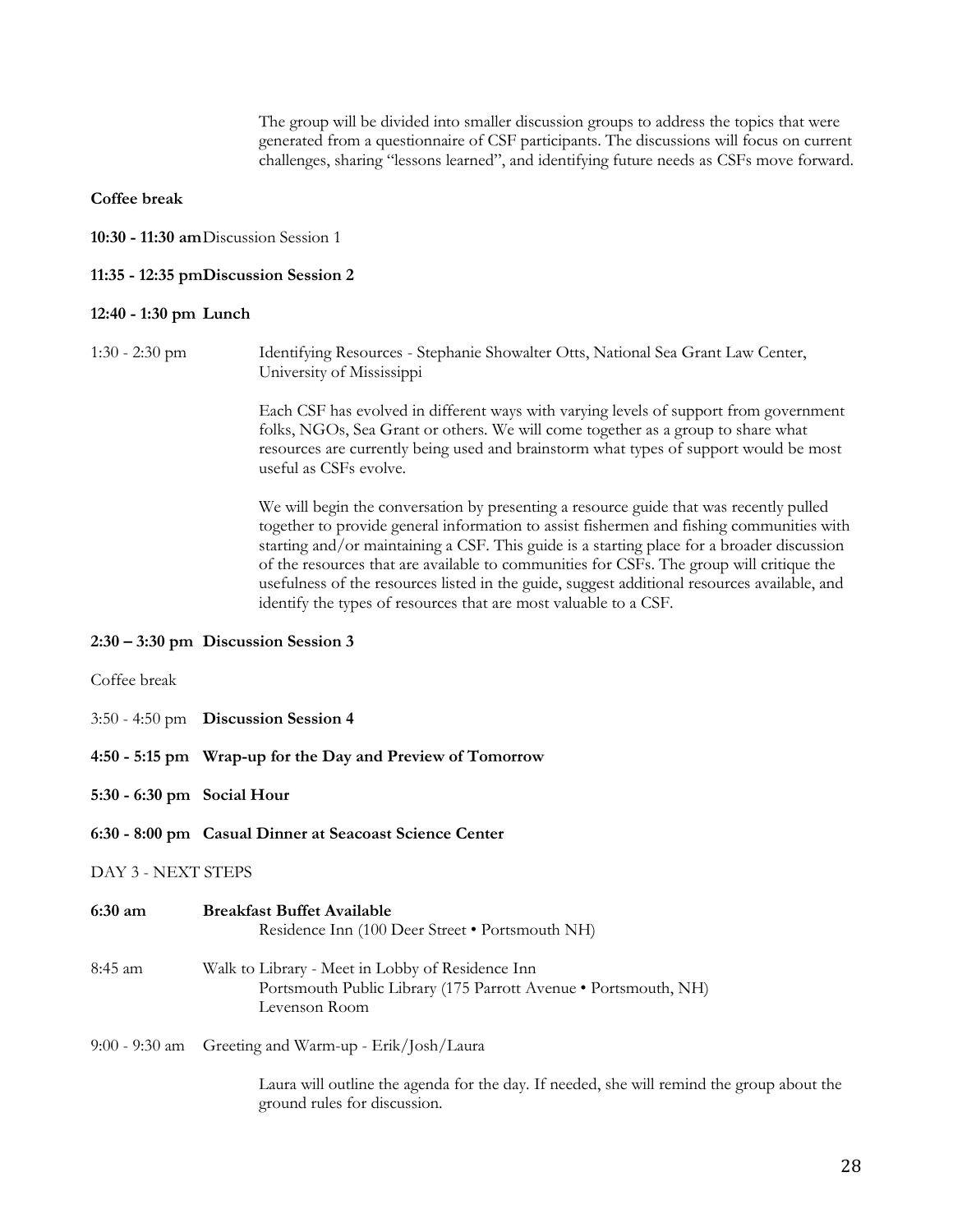The group will be divided into smaller discussion groups to address the topics that were generated from a questionnaire of CSF participants. The discussions will focus on current challenges, sharing "lessons learned", and identifying future needs as CSFs move forward.

**Coffee break**

**10:30 - 11:30 am**Discussion Session 1

#### **11:35 - 12:35 pmDiscussion Session 2**

#### **12:40 - 1:30 pm Lunch**

1:30 - 2:30 pm Identifying Resources - Stephanie Showalter Otts, National Sea Grant Law Center, University of Mississippi

> Each CSF has evolved in different ways with varying levels of support from government folks, NGOs, Sea Grant or others. We will come together as a group to share what resources are currently being used and brainstorm what types of support would be most useful as CSFs evolve.

> We will begin the conversation by presenting a resource guide that was recently pulled together to provide general information to assist fishermen and fishing communities with starting and/or maintaining a CSF. This guide is a starting place for a broader discussion of the resources that are available to communities for CSFs. The group will critique the usefulness of the resources listed in the guide, suggest additional resources available, and identify the types of resources that are most valuable to a CSF.

#### **2:30 ² 3:30 pm Discussion Session 3**

| Coffee break               |                                                                                                                                      |  |  |  |  |
|----------------------------|--------------------------------------------------------------------------------------------------------------------------------------|--|--|--|--|
|                            | $3:50 - 4:50$ pm Discussion Session 4                                                                                                |  |  |  |  |
|                            | 4:50 - 5:15 pm Wrap-up for the Day and Preview of Tomorrow                                                                           |  |  |  |  |
| 5:30 - 6:30 pm Social Hour |                                                                                                                                      |  |  |  |  |
|                            | 6:30 - 8:00 pm Casual Dinner at Seacoast Science Center                                                                              |  |  |  |  |
| DAY 3 - NEXT STEPS         |                                                                                                                                      |  |  |  |  |
| 6:30 am                    | <b>Breakfast Buffet Available</b><br>Residence Inn (100 Deer Street • Portsmouth NH)                                                 |  |  |  |  |
| 8:45 am                    | Walk to Library - Meet in Lobby of Residence Inn<br>Portsmouth Public Library (175 Parrott Avenue • Portsmouth, NH)<br>Levenson Room |  |  |  |  |
|                            | 9:00 - 9:30 am Greeting and Warm-up - Erik/Josh/Laura                                                                                |  |  |  |  |
|                            |                                                                                                                                      |  |  |  |  |

Laura will outline the agenda for the day. If needed, she will remind the group about the ground rules for discussion.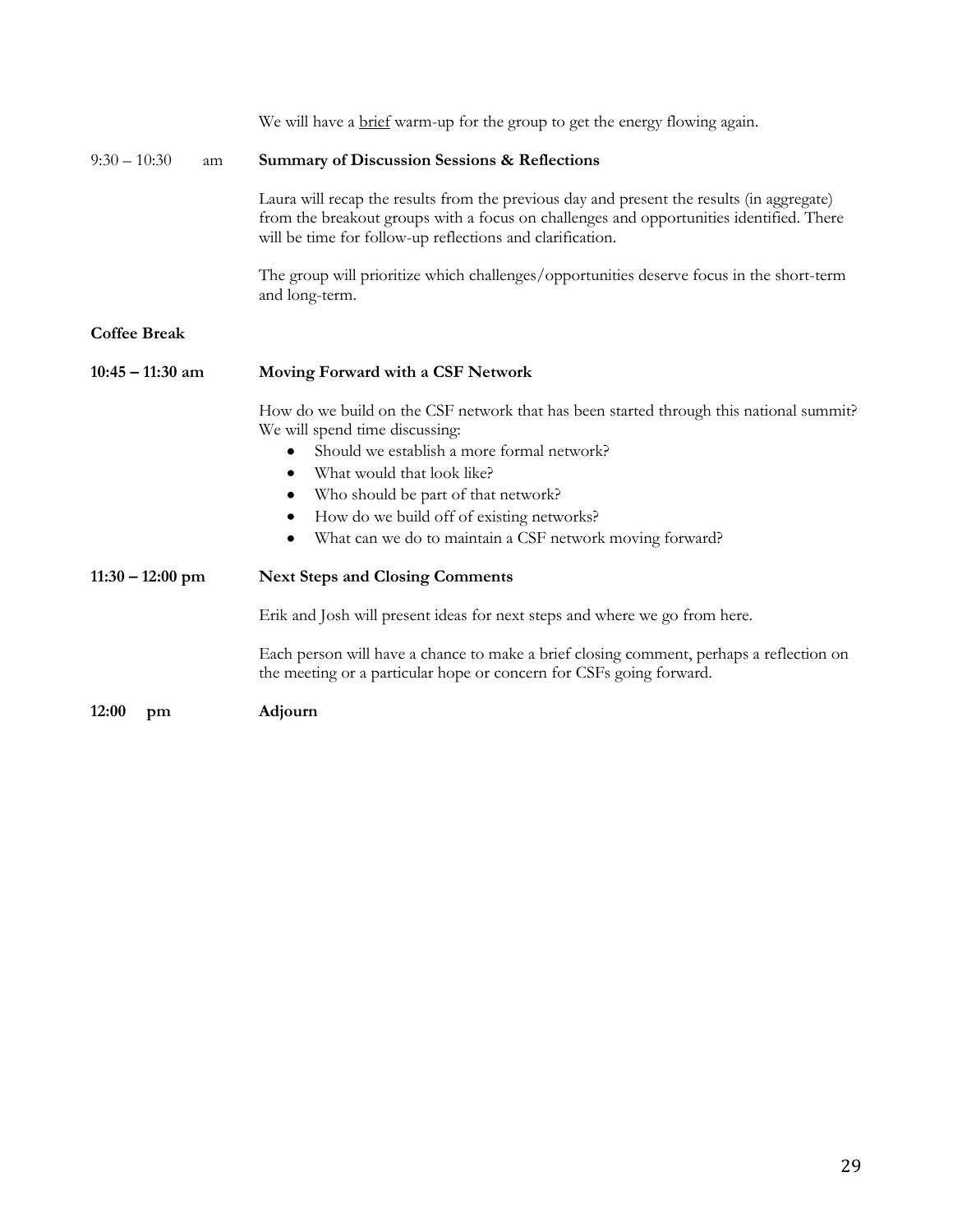|                      | We will have a brief warm-up for the group to get the energy flowing again.                                                                                                                                                                                                                                                                                              |
|----------------------|--------------------------------------------------------------------------------------------------------------------------------------------------------------------------------------------------------------------------------------------------------------------------------------------------------------------------------------------------------------------------|
| $9:30 - 10:30$<br>am | <b>Summary of Discussion Sessions &amp; Reflections</b>                                                                                                                                                                                                                                                                                                                  |
|                      | Laura will recap the results from the previous day and present the results (in aggregate)<br>from the breakout groups with a focus on challenges and opportunities identified. There<br>will be time for follow-up reflections and clarification.                                                                                                                        |
|                      | The group will prioritize which challenges/opportunities deserve focus in the short-term<br>and long-term.                                                                                                                                                                                                                                                               |
| <b>Coffee Break</b>  |                                                                                                                                                                                                                                                                                                                                                                          |
| $10:45 - 11:30$ am   | Moving Forward with a CSF Network                                                                                                                                                                                                                                                                                                                                        |
|                      | How do we build on the CSF network that has been started through this national summit?<br>We will spend time discussing:<br>Should we establish a more formal network?<br>٠<br>What would that look like?<br>٠<br>Who should be part of that network?<br>٠<br>How do we build off of existing networks?<br>٠<br>What can we do to maintain a CSF network moving forward? |
| $11:30 - 12:00$ pm   | <b>Next Steps and Closing Comments</b>                                                                                                                                                                                                                                                                                                                                   |
|                      | Erik and Josh will present ideas for next steps and where we go from here.                                                                                                                                                                                                                                                                                               |
|                      | Each person will have a chance to make a brief closing comment, perhaps a reflection on<br>the meeting or a particular hope or concern for CSFs going forward.                                                                                                                                                                                                           |
| 12:00<br>pm          | Adjourn                                                                                                                                                                                                                                                                                                                                                                  |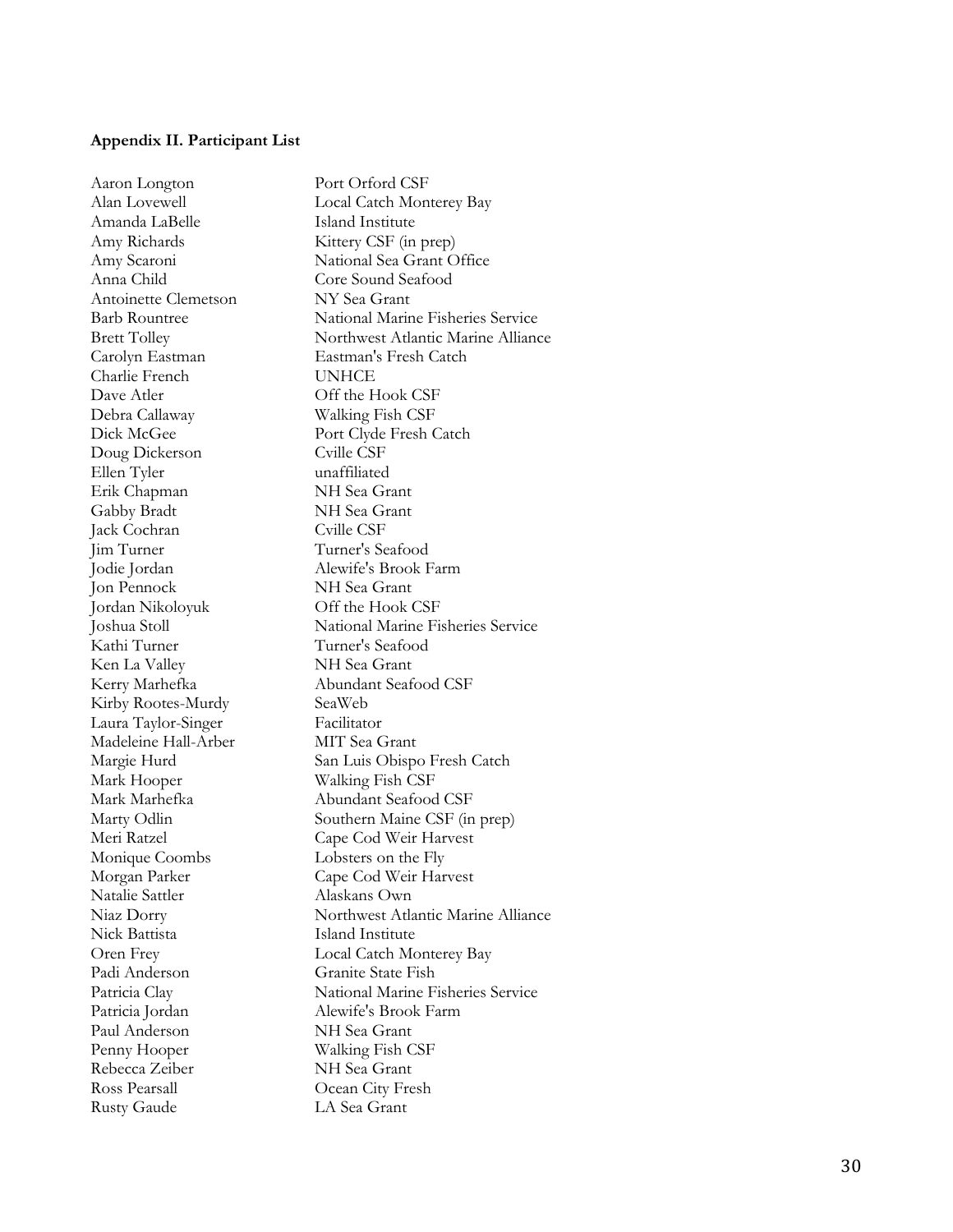#### <span id="page-29-0"></span>**Appendix II. Participant List**

Aaron Longton Port Orford CSF Alan Lovewell Local Catch Monterey Bay Amanda LaBelle Island Institute Amy Richards Kittery CSF (in prep) Amy Scaroni National Sea Grant Office Anna Child Core Sound Seafood Antoinette Clemetson NY Sea Grant Barb Rountree National Marine Fisheries Service Brett Tolley Northwest Atlantic Marine Alliance Carolyn Eastman Eastman's Fresh Catch Charlie French UNHCE Dave Atler Off the Hook CSF Debra Callaway Walking Fish CSF Dick McGee Port Clyde Fresh Catch Doug Dickerson Cville CSF Ellen Tyler unaffiliated Erik Chapman NH Sea Grant Gabby Bradt NH Sea Grant Jack Cochran Cville CSF Jim Turner Turner's Seafood Jodie Jordan Alewife's Brook Farm Jon Pennock NH Sea Grant Jordan Nikoloyuk Off the Hook CSF Joshua Stoll National Marine Fisheries Service Kathi Turner Turner's Seafood Ken La Valley NH Sea Grant Kerry Marhefka Abundant Seafood CSF Kirby Rootes -Murdy SeaWeb Laura Taylor Facilitator Madeleine Hall -Arb e MIT Sea Grant Margie Hurd San Luis Obispo Fresh Catch Mark Hooper Walking Fish CSF Mark Marhefka Abundant Seafood CSF Marty Odlin Southern Maine CSF (in prep) Meri Ratzel Cape Cod Weir Harvest Monique Coombs Lobsters on the Fly Morgan Parker Cape Cod Weir Harvest Natalie Sattler Alaskans Own Niaz Dorry Northwest Atlantic Marine Alliance Nick Battista Island Institute Oren Frey Local Catch Monterey Bay Padi Anderson Granite State Fish Patricia Clay National Marine Fisheries Service Patricia Jordan Alewife's Brook Farm Paul Anderson NH Sea Grant Penny Hooper Walking Fish CSF Rebecca Zeiber NH Sea Grant Ross Pearsall Ocean City Fresh Rusty Gaude LA Sea Grant